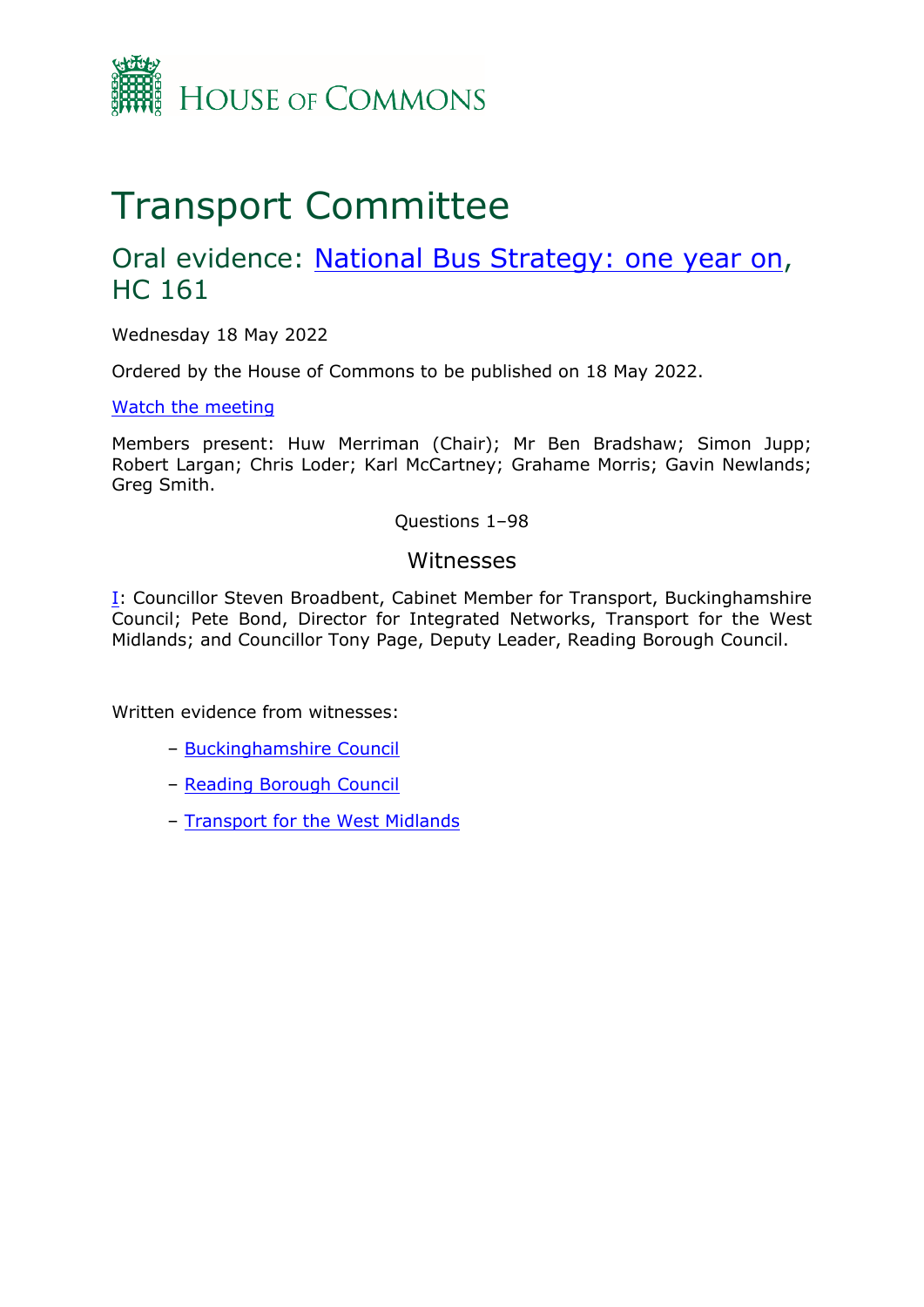

# Transport Committee

# Oral evidence: [National](https://committees.parliament.uk/work/6556/national-bus-strategy-one-year-on/) [Bus](https://committees.parliament.uk/work/6556/national-bus-strategy-one-year-on/) [Strategy:](https://committees.parliament.uk/work/6556/national-bus-strategy-one-year-on/) [one](https://committees.parliament.uk/work/6556/national-bus-strategy-one-year-on/) [year](https://committees.parliament.uk/work/6556/national-bus-strategy-one-year-on/) [on,](https://committees.parliament.uk/work/6556/national-bus-strategy-one-year-on/) HC 161

Wednesday 18 May 2022

Ordered by the House of Commons to be published on 18 May 2022.

[Watch](https://www.parliamentlive.tv/Event/Index/63408abc-ccc4-4e49-9240-1b5f7bd57445) [the](https://www.parliamentlive.tv/Event/Index/63408abc-ccc4-4e49-9240-1b5f7bd57445) [meeting](https://www.parliamentlive.tv/Event/Index/63408abc-ccc4-4e49-9240-1b5f7bd57445)

Members present: Huw Merriman (Chair); Mr Ben Bradshaw; Simon Jupp; Robert Largan; Chris Loder; Karl McCartney; Grahame Morris; Gavin Newlands; Greg Smith.

Questions 1–98

### Witnesses

[I:](#page-1-0) Councillor Steven Broadbent, Cabinet Member for Transport, Buckinghamshire Council; Pete Bond, Director for Integrated Networks, Transport for the West Midlands; and Councillor Tony Page, Deputy Leader, Reading Borough Council.

Written evidence from witnesses:

- [Buckinghamshire](https://committees.parliament.uk/writtenevidence/107712/pdf/) [Council](https://committees.parliament.uk/writtenevidence/107712/pdf/)
- [Reading](https://committees.parliament.uk/writtenevidence/107597/pdf/) [Borough](https://committees.parliament.uk/writtenevidence/107597/pdf/) [Council](https://committees.parliament.uk/writtenevidence/107597/pdf/)
- [Transport](https://committees.parliament.uk/writtenevidence/107705/pdf/) [for](https://committees.parliament.uk/writtenevidence/107705/pdf/) [the](https://committees.parliament.uk/writtenevidence/107705/pdf/) [West](https://committees.parliament.uk/writtenevidence/107705/pdf/) [Midlands](https://committees.parliament.uk/writtenevidence/107705/pdf/)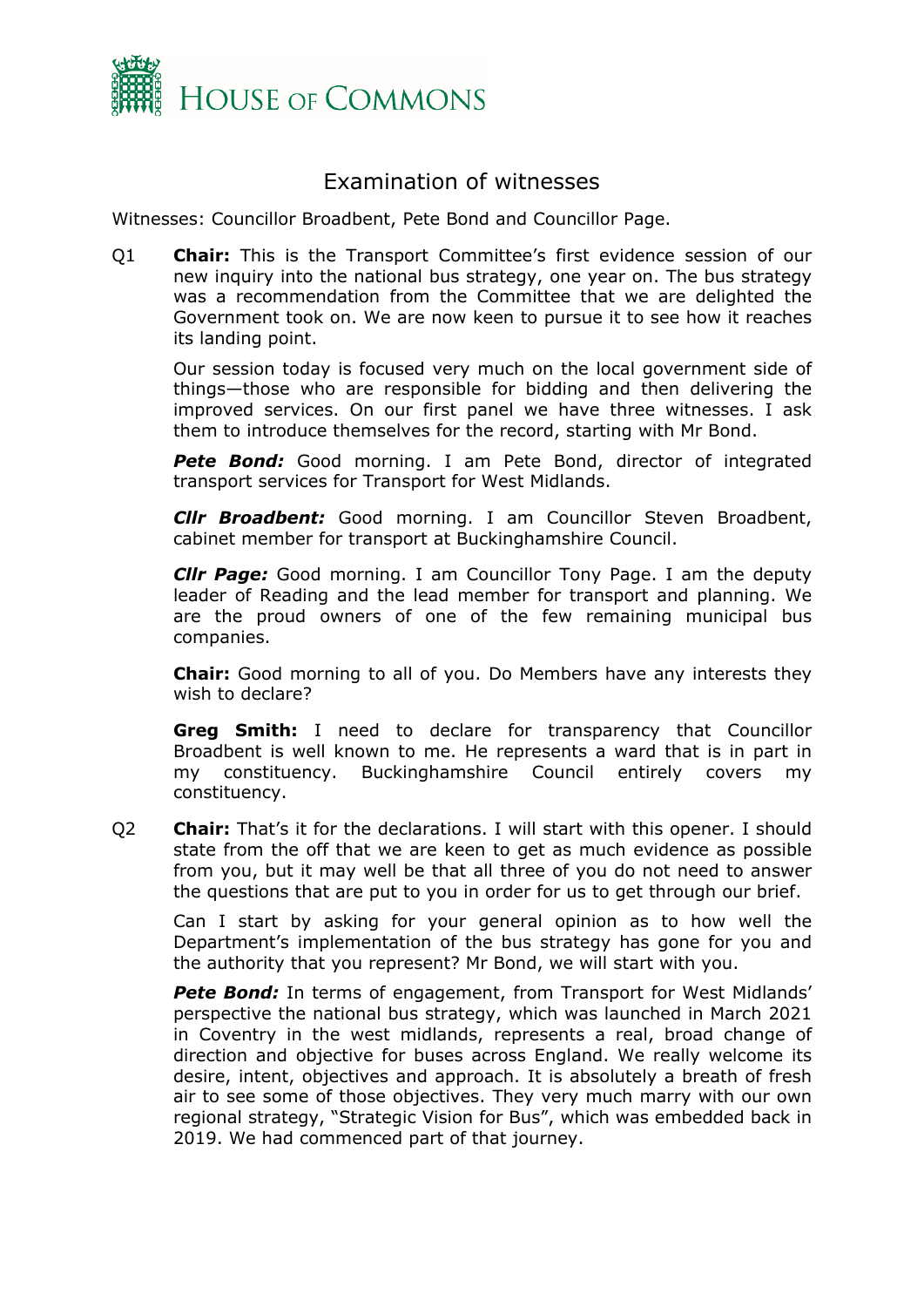

## <span id="page-1-0"></span>Examination of witnesses

Witnesses: Councillor Broadbent, Pete Bond and Councillor Page.

Q1 **Chair:** This is the Transport Committee's first evidence session of our new inquiry into the national bus strategy, one year on. The bus strategy was a recommendation from the Committee that we are delighted the Government took on. We are now keen to pursue it to see how it reaches its landing point.

Our session today is focused very much on the local government side of things—those who are responsible for bidding and then delivering the improved services. On our first panel we have three witnesses. I ask them to introduce themselves for the record, starting with Mr Bond.

**Pete Bond:** Good morning. I am Pete Bond, director of integrated transport services for Transport for West Midlands.

*Cllr Broadbent:* Good morning. I am Councillor Steven Broadbent, cabinet member for transport at Buckinghamshire Council.

*Cllr Page:* Good morning. I am Councillor Tony Page. I am the deputy leader of Reading and the lead member for transport and planning. We are the proud owners of one of the few remaining municipal bus companies.

**Chair:** Good morning to all of you. Do Members have any interests they wish to declare?

**Greg Smith:** I need to declare for transparency that Councillor Broadbent is well known to me. He represents a ward that is in part in my constituency. Buckinghamshire Council entirely covers my constituency.

Q2 **Chair:** That's it for the declarations. I will start with this opener. I should state from the off that we are keen to get as much evidence as possible from you, but it may well be that all three of you do not need to answer the questions that are put to you in order for us to get through our brief.

Can I start by asking for your general opinion as to how well the Department's implementation of the bus strategy has gone for you and the authority that you represent? Mr Bond, we will start with you.

**Pete Bond:** In terms of engagement, from Transport for West Midlands' perspective the national bus strategy, which was launched in March 2021 in Coventry in the west midlands, represents a real, broad change of direction and objective for buses across England. We really welcome its desire, intent, objectives and approach. It is absolutely a breath of fresh air to see some of those objectives. They very much marry with our own regional strategy, "Strategic Vision for Bus", which was embedded back in 2019. We had commenced part of that journey.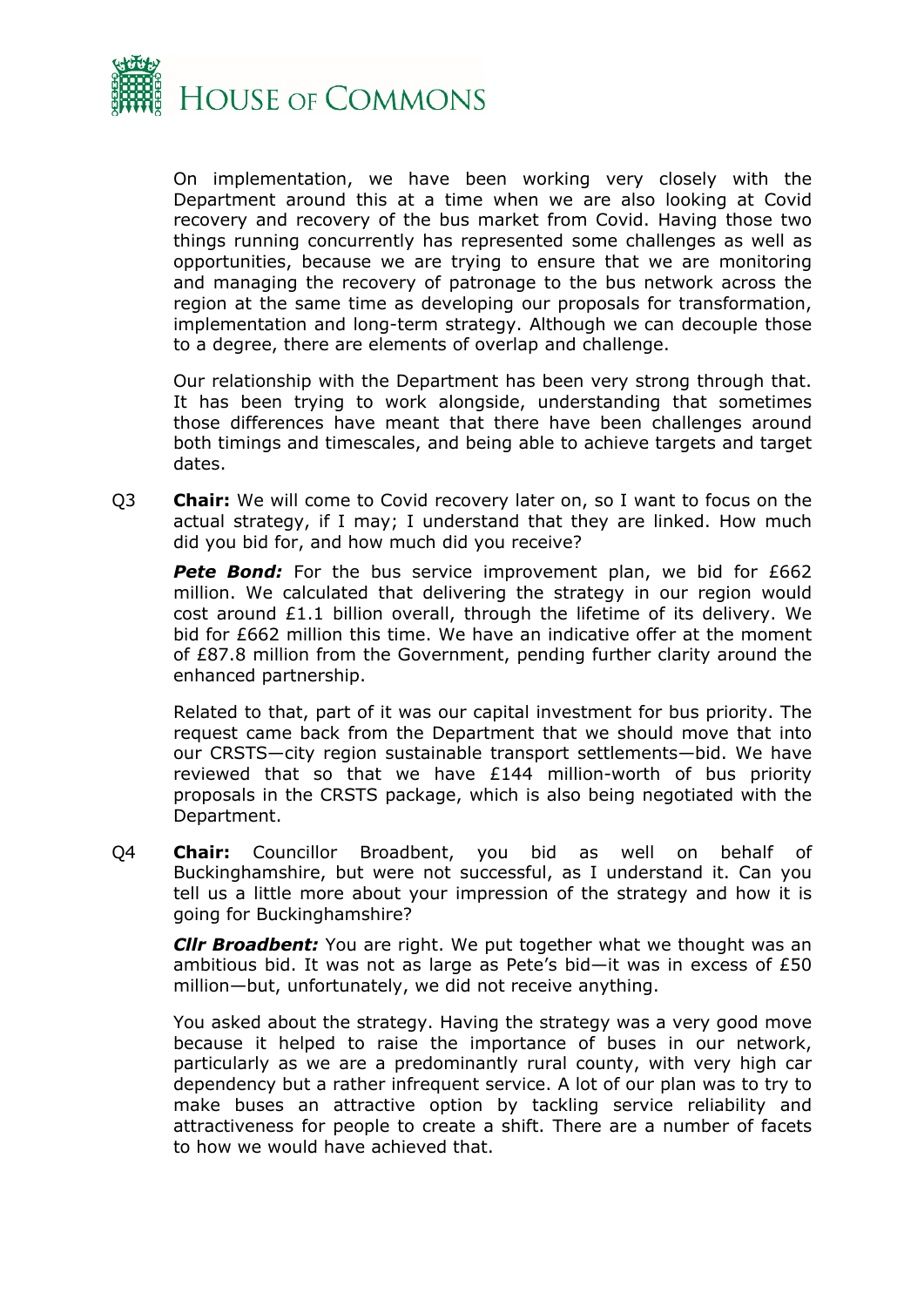

On implementation, we have been working very closely with the Department around this at a time when we are also looking at Covid recovery and recovery of the bus market from Covid. Having those two things running concurrently has represented some challenges as well as opportunities, because we are trying to ensure that we are monitoring and managing the recovery of patronage to the bus network across the region at the same time as developing our proposals for transformation, implementation and long-term strategy. Although we can decouple those to a degree, there are elements of overlap and challenge.

Our relationship with the Department has been very strong through that. It has been trying to work alongside, understanding that sometimes those differences have meant that there have been challenges around both timings and timescales, and being able to achieve targets and target dates.

Q3 **Chair:** We will come to Covid recovery later on, so I want to focus on the actual strategy, if I may; I understand that they are linked. How much did you bid for, and how much did you receive?

**Pete Bond:** For the bus service improvement plan, we bid for £662 million. We calculated that delivering the strategy in our region would cost around £1.1 billion overall, through the lifetime of its delivery. We bid for £662 million this time. We have an indicative offer at the moment of £87.8 million from the Government, pending further clarity around the enhanced partnership.

Related to that, part of it was our capital investment for bus priority. The request came back from the Department that we should move that into our CRSTS—city region sustainable transport settlements—bid. We have reviewed that so that we have £144 million-worth of bus priority proposals in the CRSTS package, which is also being negotiated with the Department.

Q4 **Chair:** Councillor Broadbent, you bid as well on behalf of Buckinghamshire, but were not successful, as I understand it. Can you tell us a little more about your impression of the strategy and how it is going for Buckinghamshire?

*Cllr Broadbent:* You are right. We put together what we thought was an ambitious bid. It was not as large as Pete's bid—it was in excess of £50 million—but, unfortunately, we did not receive anything.

You asked about the strategy. Having the strategy was a very good move because it helped to raise the importance of buses in our network, particularly as we are a predominantly rural county, with very high car dependency but a rather infrequent service. A lot of our plan was to try to make buses an attractive option by tackling service reliability and attractiveness for people to create a shift. There are a number of facets to how we would have achieved that.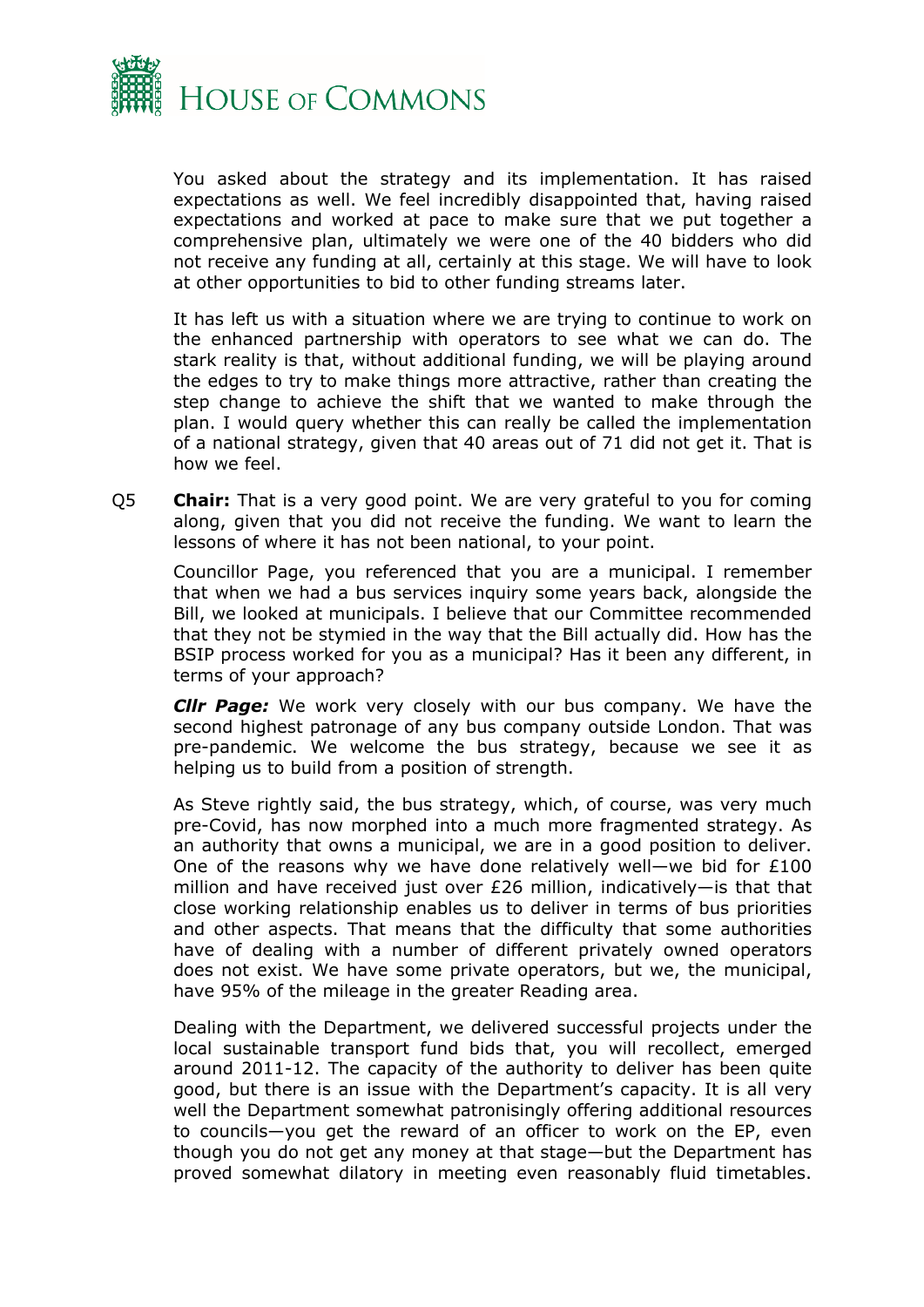

You asked about the strategy and its implementation. It has raised expectations as well. We feel incredibly disappointed that, having raised expectations and worked at pace to make sure that we put together a comprehensive plan, ultimately we were one of the 40 bidders who did not receive any funding at all, certainly at this stage. We will have to look at other opportunities to bid to other funding streams later.

It has left us with a situation where we are trying to continue to work on the enhanced partnership with operators to see what we can do. The stark reality is that, without additional funding, we will be playing around the edges to try to make things more attractive, rather than creating the step change to achieve the shift that we wanted to make through the plan. I would query whether this can really be called the implementation of a national strategy, given that 40 areas out of 71 did not get it. That is how we feel.

Q5 **Chair:** That is a very good point. We are very grateful to you for coming along, given that you did not receive the funding. We want to learn the lessons of where it has not been national, to your point.

Councillor Page, you referenced that you are a municipal. I remember that when we had a bus services inquiry some years back, alongside the Bill, we looked at municipals. I believe that our Committee recommended that they not be stymied in the way that the Bill actually did. How has the BSIP process worked for you as a municipal? Has it been any different, in terms of your approach?

*Cllr Page:* We work very closely with our bus company. We have the second highest patronage of any bus company outside London. That was pre-pandemic. We welcome the bus strategy, because we see it as helping us to build from a position of strength.

As Steve rightly said, the bus strategy, which, of course, was very much pre-Covid, has now morphed into a much more fragmented strategy. As an authority that owns a municipal, we are in a good position to deliver. One of the reasons why we have done relatively well—we bid for £100 million and have received just over £26 million, indicatively—is that that close working relationship enables us to deliver in terms of bus priorities and other aspects. That means that the difficulty that some authorities have of dealing with a number of different privately owned operators does not exist. We have some private operators, but we, the municipal, have 95% of the mileage in the greater Reading area.

Dealing with the Department, we delivered successful projects under the local sustainable transport fund bids that, you will recollect, emerged around 2011-12. The capacity of the authority to deliver has been quite good, but there is an issue with the Department's capacity. It is all very well the Department somewhat patronisingly offering additional resources to councils—you get the reward of an officer to work on the EP, even though you do not get any money at that stage—but the Department has proved somewhat dilatory in meeting even reasonably fluid timetables.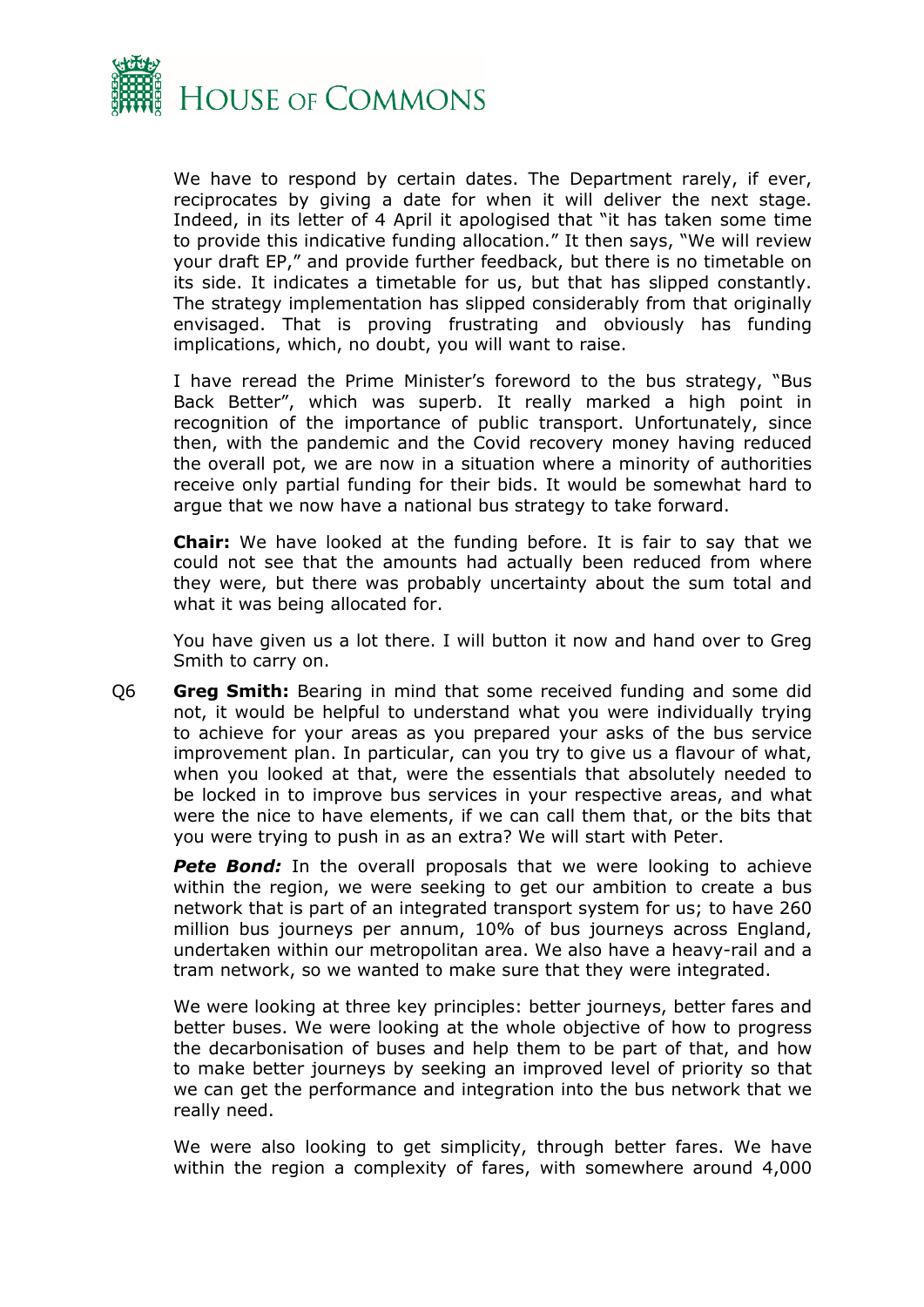

We have to respond by certain dates. The Department rarely, if ever, reciprocates by giving a date for when it will deliver the next stage. Indeed, in its letter of 4 April it apologised that "it has taken some time to provide this indicative funding allocation." It then says, "We will review your draft EP," and provide further feedback, but there is no timetable on its side. It indicates a timetable for us, but that has slipped constantly. The strategy implementation has slipped considerably from that originally envisaged. That is proving frustrating and obviously has funding implications, which, no doubt, you will want to raise.

I have reread the Prime Minister's foreword to the bus strategy, "Bus Back Better", which was superb. It really marked a high point in recognition of the importance of public transport. Unfortunately, since then, with the pandemic and the Covid recovery money having reduced the overall pot, we are now in a situation where a minority of authorities receive only partial funding for their bids. It would be somewhat hard to argue that we now have a national bus strategy to take forward.

**Chair:** We have looked at the funding before. It is fair to say that we could not see that the amounts had actually been reduced from where they were, but there was probably uncertainty about the sum total and what it was being allocated for.

You have given us a lot there. I will button it now and hand over to Greg Smith to carry on.

Q6 **Greg Smith:** Bearing in mind that some received funding and some did not, it would be helpful to understand what you were individually trying to achieve for your areas as you prepared your asks of the bus service improvement plan. In particular, can you try to give us a flavour of what, when you looked at that, were the essentials that absolutely needed to be locked in to improve bus services in your respective areas, and what were the nice to have elements, if we can call them that, or the bits that you were trying to push in as an extra? We will start with Peter.

**Pete Bond:** In the overall proposals that we were looking to achieve within the region, we were seeking to get our ambition to create a bus network that is part of an integrated transport system for us; to have 260 million bus journeys per annum, 10% of bus journeys across England, undertaken within our metropolitan area. We also have a heavy-rail and a tram network, so we wanted to make sure that they were integrated.

We were looking at three key principles: better journeys, better fares and better buses. We were looking at the whole objective of how to progress the decarbonisation of buses and help them to be part of that, and how to make better journeys by seeking an improved level of priority so that we can get the performance and integration into the bus network that we really need.

We were also looking to get simplicity, through better fares. We have within the region a complexity of fares, with somewhere around 4,000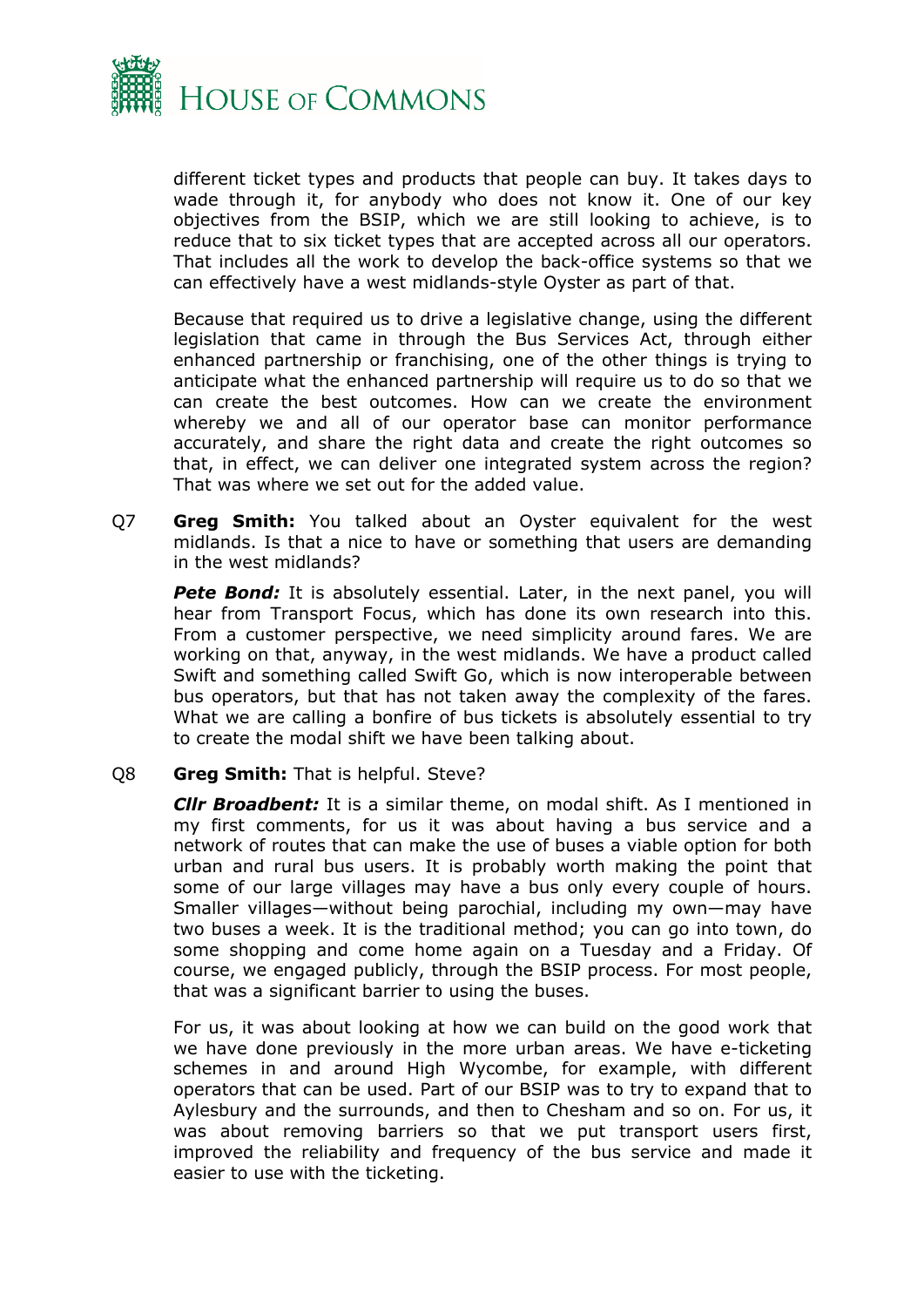

different ticket types and products that people can buy. It takes days to wade through it, for anybody who does not know it. One of our key objectives from the BSIP, which we are still looking to achieve, is to reduce that to six ticket types that are accepted across all our operators. That includes all the work to develop the back-office systems so that we can effectively have a west midlands-style Oyster as part of that.

Because that required us to drive a legislative change, using the different legislation that came in through the Bus Services Act, through either enhanced partnership or franchising, one of the other things is trying to anticipate what the enhanced partnership will require us to do so that we can create the best outcomes. How can we create the environment whereby we and all of our operator base can monitor performance accurately, and share the right data and create the right outcomes so that, in effect, we can deliver one integrated system across the region? That was where we set out for the added value.

Q7 **Greg Smith:** You talked about an Oyster equivalent for the west midlands. Is that a nice to have or something that users are demanding in the west midlands?

**Pete Bond:** It is absolutely essential. Later, in the next panel, you will hear from Transport Focus, which has done its own research into this. From a customer perspective, we need simplicity around fares. We are working on that, anyway, in the west midlands. We have a product called Swift and something called Swift Go, which is now interoperable between bus operators, but that has not taken away the complexity of the fares. What we are calling a bonfire of bus tickets is absolutely essential to try to create the modal shift we have been talking about.

#### Q8 **Greg Smith:** That is helpful. Steve?

*Cllr Broadbent:* It is a similar theme, on modal shift. As I mentioned in my first comments, for us it was about having a bus service and a network of routes that can make the use of buses a viable option for both urban and rural bus users. It is probably worth making the point that some of our large villages may have a bus only every couple of hours. Smaller villages—without being parochial, including my own—may have two buses a week. It is the traditional method; you can go into town, do some shopping and come home again on a Tuesday and a Friday. Of course, we engaged publicly, through the BSIP process. For most people, that was a significant barrier to using the buses.

For us, it was about looking at how we can build on the good work that we have done previously in the more urban areas. We have e-ticketing schemes in and around High Wycombe, for example, with different operators that can be used. Part of our BSIP was to try to expand that to Aylesbury and the surrounds, and then to Chesham and so on. For us, it was about removing barriers so that we put transport users first, improved the reliability and frequency of the bus service and made it easier to use with the ticketing.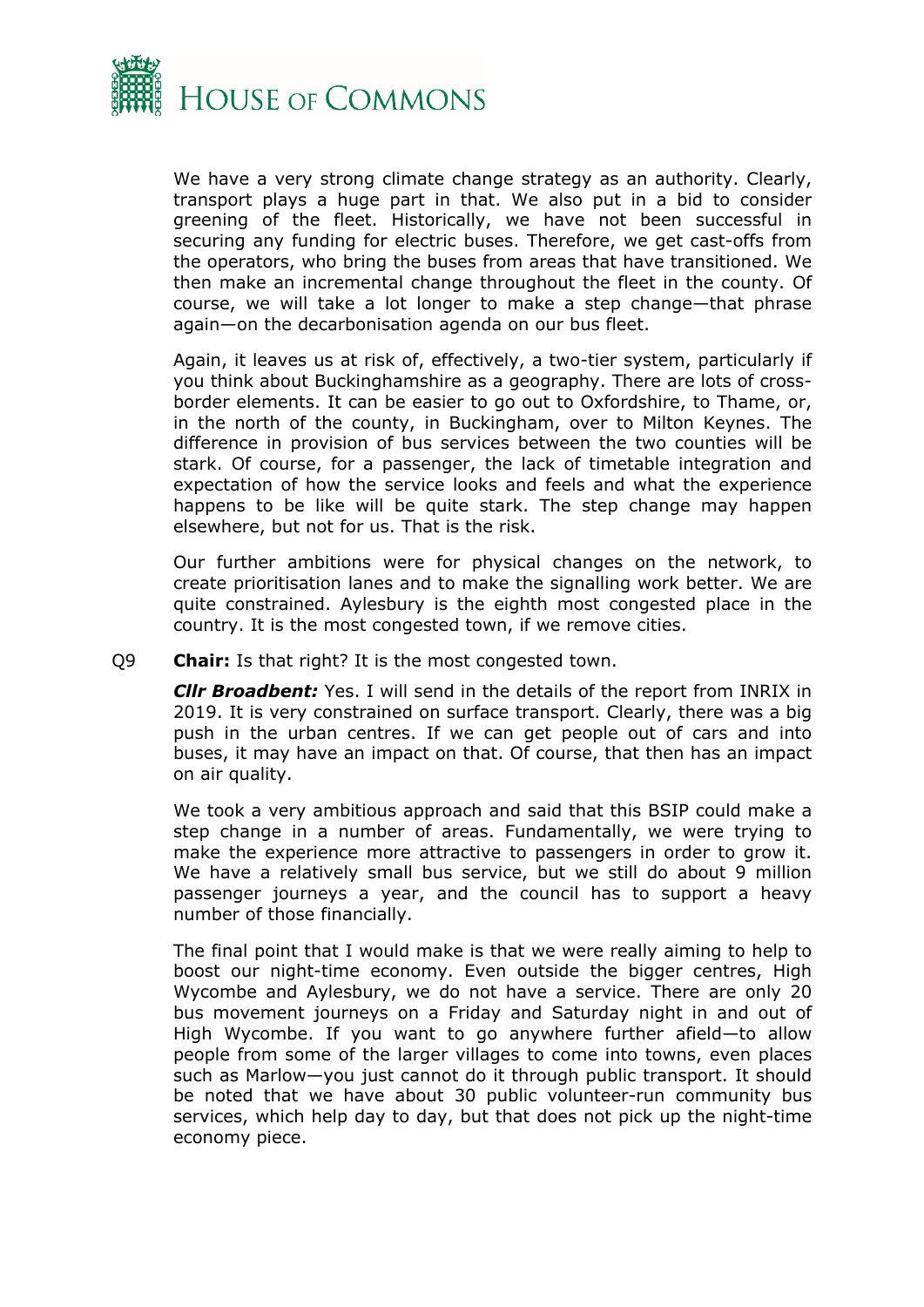

We have a very strong climate change strategy as an authority. Clearly, transport plays a huge part in that. We also put in a bid to consider greening of the fleet. Historically, we have not been successful in securing any funding for electric buses. Therefore, we get cast-offs from the operators, who bring the buses from areas that have transitioned. We then make an incremental change throughout the fleet in the county. Of course, we will take a lot longer to make a step change—that phrase again—on the decarbonisation agenda on our bus fleet.

Again, it leaves us at risk of, effectively, a two-tier system, particularly if you think about Buckinghamshire as a geography. There are lots of crossborder elements. It can be easier to go out to Oxfordshire, to Thame, or, in the north of the county, in Buckingham, over to Milton Keynes. The difference in provision of bus services between the two counties will be stark. Of course, for a passenger, the lack of timetable integration and expectation of how the service looks and feels and what the experience happens to be like will be quite stark. The step change may happen elsewhere, but not for us. That is the risk.

Our further ambitions were for physical changes on the network, to create prioritisation lanes and to make the signalling work better. We are quite constrained. Aylesbury is the eighth most congested place in the country. It is the most congested town, if we remove cities.

Q9 **Chair:** Is that right? It is the most congested town.

*Cllr Broadbent:* Yes. I will send in the details of the report from INRIX in 2019. It is very constrained on surface transport. Clearly, there was a big push in the urban centres. If we can get people out of cars and into buses, it may have an impact on that. Of course, that then has an impact on air quality.

We took a very ambitious approach and said that this BSIP could make a step change in a number of areas. Fundamentally, we were trying to make the experience more attractive to passengers in order to grow it. We have a relatively small bus service, but we still do about 9 million passenger journeys a year, and the council has to support a heavy number of those financially.

The final point that I would make is that we were really aiming to help to boost our night-time economy. Even outside the bigger centres, High Wycombe and Aylesbury, we do not have a service. There are only 20 bus movement journeys on a Friday and Saturday night in and out of High Wycombe. If you want to go anywhere further afield—to allow people from some of the larger villages to come into towns, even places such as Marlow—you just cannot do it through public transport. It should be noted that we have about 30 public volunteer-run community bus services, which help day to day, but that does not pick up the night-time economy piece.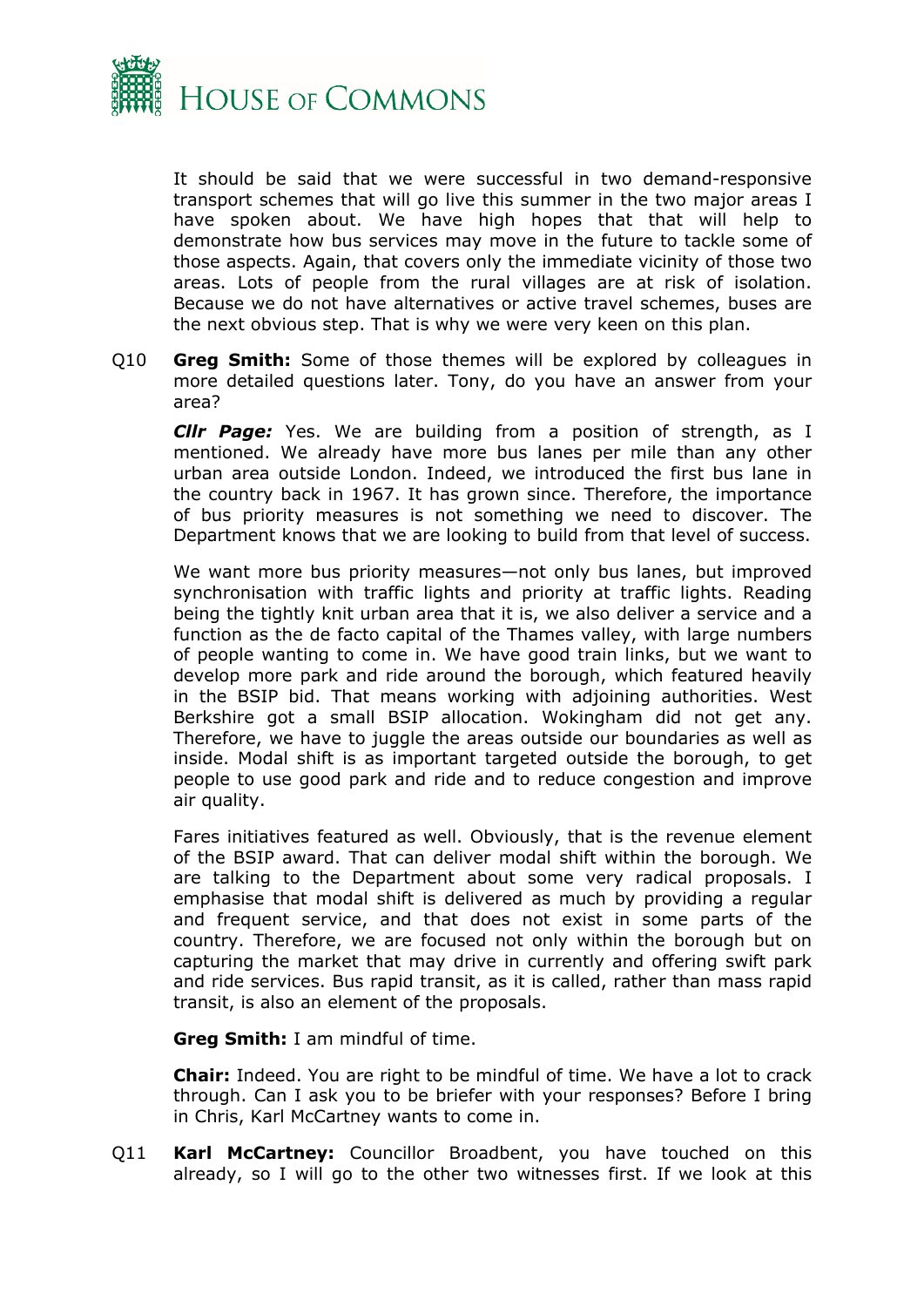

It should be said that we were successful in two demand-responsive transport schemes that will go live this summer in the two major areas I have spoken about. We have high hopes that that will help to demonstrate how bus services may move in the future to tackle some of those aspects. Again, that covers only the immediate vicinity of those two areas. Lots of people from the rural villages are at risk of isolation. Because we do not have alternatives or active travel schemes, buses are the next obvious step. That is why we were very keen on this plan.

Q10 **Greg Smith:** Some of those themes will be explored by colleagues in more detailed questions later. Tony, do you have an answer from your area?

*Cllr Page:* Yes. We are building from a position of strength, as I mentioned. We already have more bus lanes per mile than any other urban area outside London. Indeed, we introduced the first bus lane in the country back in 1967. It has grown since. Therefore, the importance of bus priority measures is not something we need to discover. The Department knows that we are looking to build from that level of success.

We want more bus priority measures—not only bus lanes, but improved synchronisation with traffic lights and priority at traffic lights. Reading being the tightly knit urban area that it is, we also deliver a service and a function as the de facto capital of the Thames valley, with large numbers of people wanting to come in. We have good train links, but we want to develop more park and ride around the borough, which featured heavily in the BSIP bid. That means working with adjoining authorities. West Berkshire got a small BSIP allocation. Wokingham did not get any. Therefore, we have to juggle the areas outside our boundaries as well as inside. Modal shift is as important targeted outside the borough, to get people to use good park and ride and to reduce congestion and improve air quality.

Fares initiatives featured as well. Obviously, that is the revenue element of the BSIP award. That can deliver modal shift within the borough. We are talking to the Department about some very radical proposals. I emphasise that modal shift is delivered as much by providing a regular and frequent service, and that does not exist in some parts of the country. Therefore, we are focused not only within the borough but on capturing the market that may drive in currently and offering swift park and ride services. Bus rapid transit, as it is called, rather than mass rapid transit, is also an element of the proposals.

**Greg Smith:** I am mindful of time.

**Chair:** Indeed. You are right to be mindful of time. We have a lot to crack through. Can I ask you to be briefer with your responses? Before I bring in Chris, Karl McCartney wants to come in.

Q11 **Karl McCartney:** Councillor Broadbent, you have touched on this already, so I will go to the other two witnesses first. If we look at this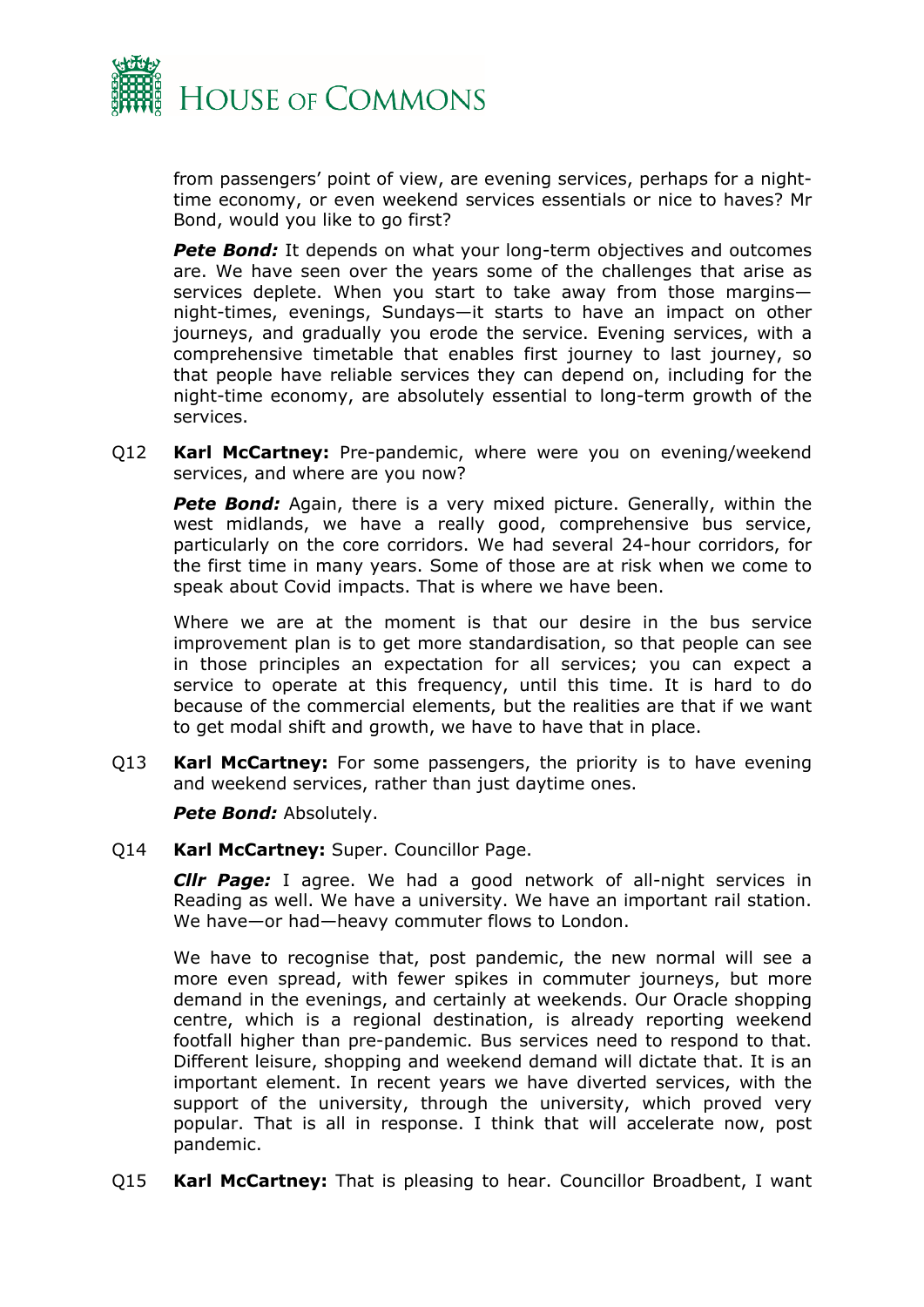

from passengers' point of view, are evening services, perhaps for a nighttime economy, or even weekend services essentials or nice to haves? Mr Bond, would you like to go first?

**Pete Bond:** It depends on what your long-term objectives and outcomes are. We have seen over the years some of the challenges that arise as services deplete. When you start to take away from those margins night-times, evenings, Sundays—it starts to have an impact on other journeys, and gradually you erode the service. Evening services, with a comprehensive timetable that enables first journey to last journey, so that people have reliable services they can depend on, including for the night-time economy, are absolutely essential to long-term growth of the services.

Q12 **Karl McCartney:** Pre-pandemic, where were you on evening/weekend services, and where are you now?

**Pete Bond:** Again, there is a very mixed picture. Generally, within the west midlands, we have a really good, comprehensive bus service, particularly on the core corridors. We had several 24-hour corridors, for the first time in many years. Some of those are at risk when we come to speak about Covid impacts. That is where we have been.

Where we are at the moment is that our desire in the bus service improvement plan is to get more standardisation, so that people can see in those principles an expectation for all services; you can expect a service to operate at this frequency, until this time. It is hard to do because of the commercial elements, but the realities are that if we want to get modal shift and growth, we have to have that in place.

Q13 **Karl McCartney:** For some passengers, the priority is to have evening and weekend services, rather than just daytime ones.

*Pete Bond:* Absolutely.

Q14 **Karl McCartney:** Super. Councillor Page.

*Cllr Page:* I agree. We had a good network of all-night services in Reading as well. We have a university. We have an important rail station. We have—or had—heavy commuter flows to London.

We have to recognise that, post pandemic, the new normal will see a more even spread, with fewer spikes in commuter journeys, but more demand in the evenings, and certainly at weekends. Our Oracle shopping centre, which is a regional destination, is already reporting weekend footfall higher than pre-pandemic. Bus services need to respond to that. Different leisure, shopping and weekend demand will dictate that. It is an important element. In recent years we have diverted services, with the support of the university, through the university, which proved very popular. That is all in response. I think that will accelerate now, post pandemic.

Q15 **Karl McCartney:** That is pleasing to hear. Councillor Broadbent, I want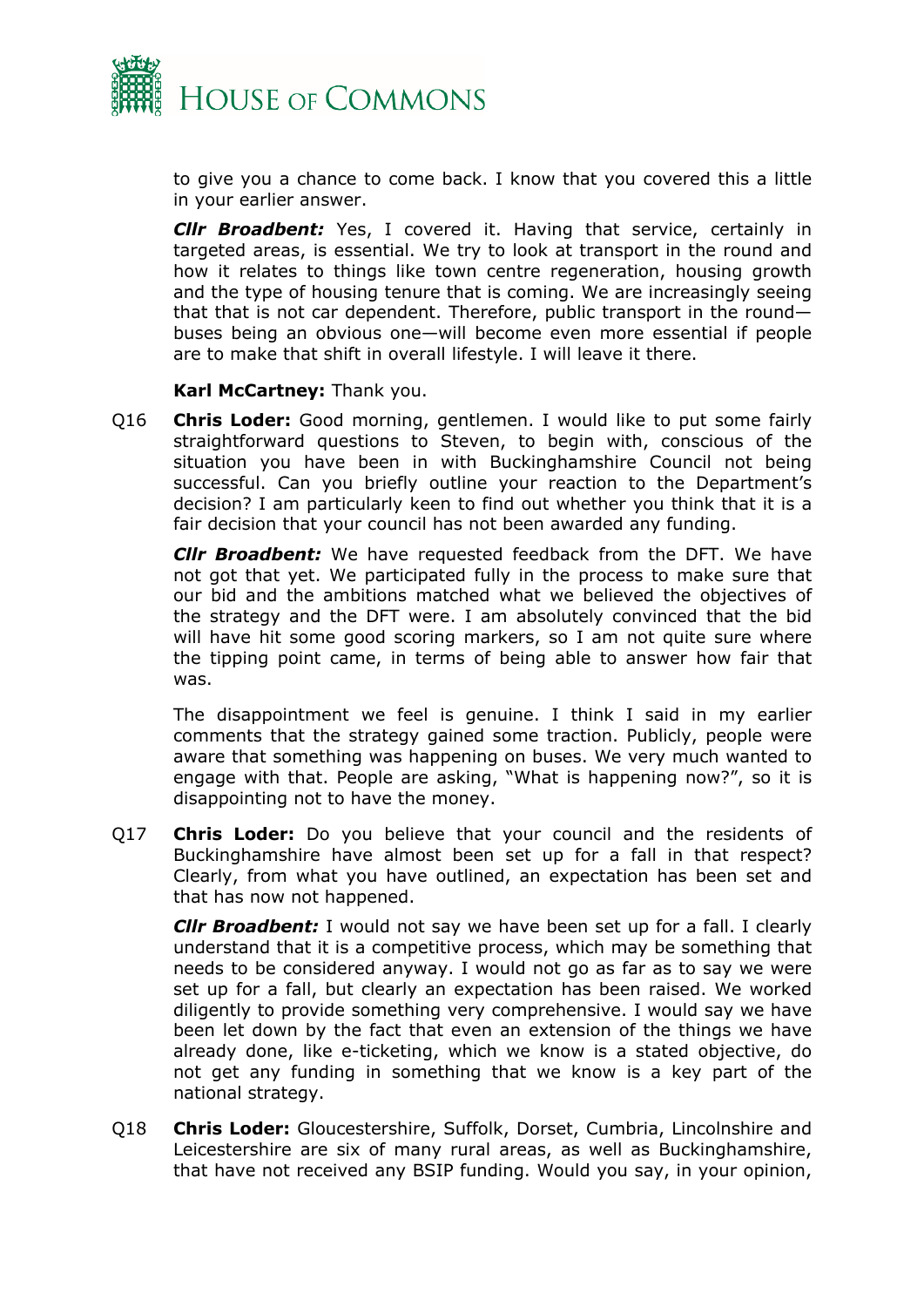

to give you a chance to come back. I know that you covered this a little in your earlier answer.

*Cllr Broadbent:* Yes, I covered it. Having that service, certainly in targeted areas, is essential. We try to look at transport in the round and how it relates to things like town centre regeneration, housing growth and the type of housing tenure that is coming. We are increasingly seeing that that is not car dependent. Therefore, public transport in the round buses being an obvious one—will become even more essential if people are to make that shift in overall lifestyle. I will leave it there.

#### **Karl McCartney:** Thank you.

Q16 **Chris Loder:** Good morning, gentlemen. I would like to put some fairly straightforward questions to Steven, to begin with, conscious of the situation you have been in with Buckinghamshire Council not being successful. Can you briefly outline your reaction to the Department's decision? I am particularly keen to find out whether you think that it is a fair decision that your council has not been awarded any funding.

*Cllr Broadbent:* We have requested feedback from the DFT. We have not got that yet. We participated fully in the process to make sure that our bid and the ambitions matched what we believed the objectives of the strategy and the DFT were. I am absolutely convinced that the bid will have hit some good scoring markers, so I am not quite sure where the tipping point came, in terms of being able to answer how fair that was.

The disappointment we feel is genuine. I think I said in my earlier comments that the strategy gained some traction. Publicly, people were aware that something was happening on buses. We very much wanted to engage with that. People are asking, "What is happening now?", so it is disappointing not to have the money.

Q17 **Chris Loder:** Do you believe that your council and the residents of Buckinghamshire have almost been set up for a fall in that respect? Clearly, from what you have outlined, an expectation has been set and that has now not happened.

*Cllr Broadbent:* I would not say we have been set up for a fall. I clearly understand that it is a competitive process, which may be something that needs to be considered anyway. I would not go as far as to say we were set up for a fall, but clearly an expectation has been raised. We worked diligently to provide something very comprehensive. I would say we have been let down by the fact that even an extension of the things we have already done, like e-ticketing, which we know is a stated objective, do not get any funding in something that we know is a key part of the national strategy.

Q18 **Chris Loder:** Gloucestershire, Suffolk, Dorset, Cumbria, Lincolnshire and Leicestershire are six of many rural areas, as well as Buckinghamshire, that have not received any BSIP funding. Would you say, in your opinion,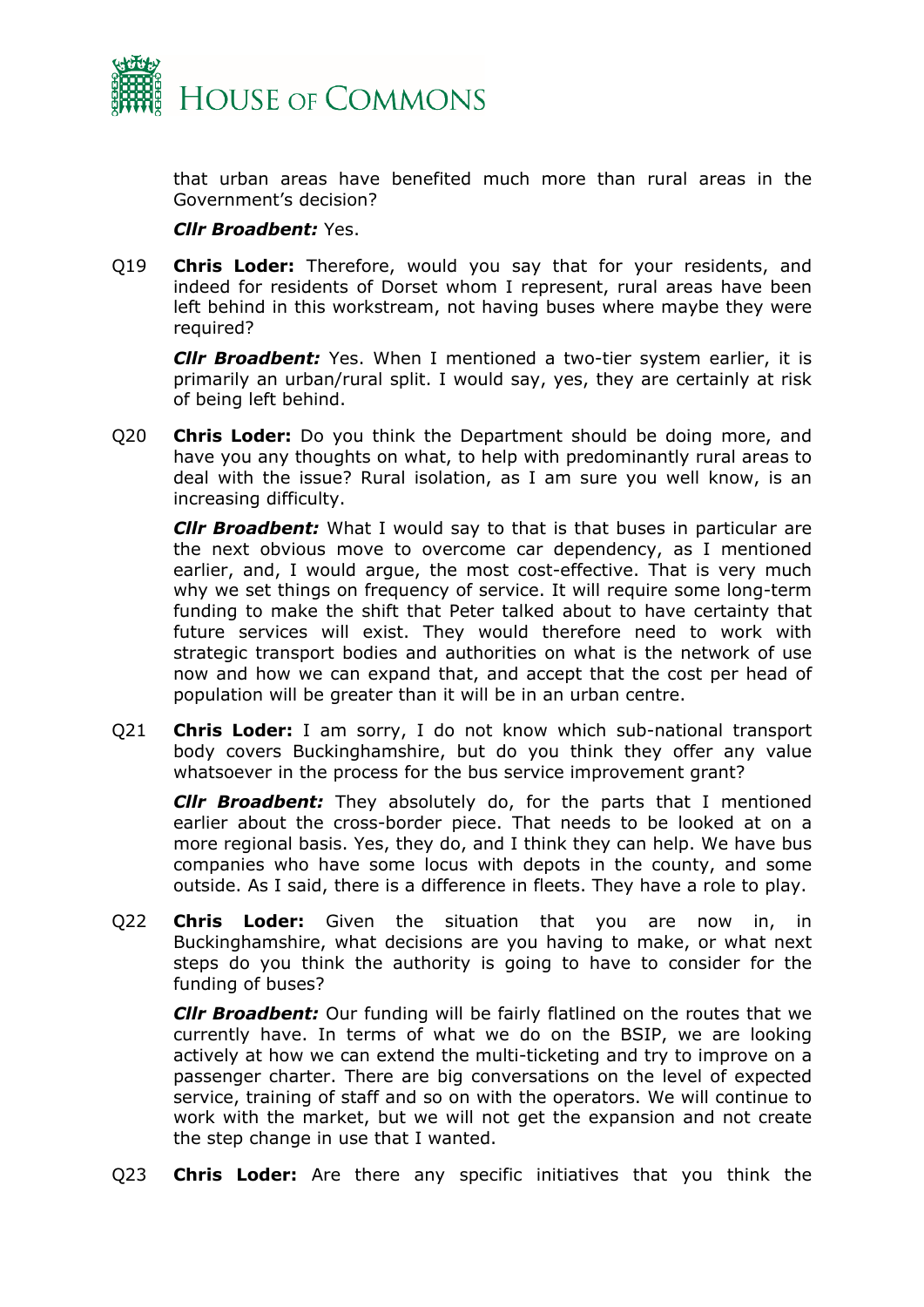

that urban areas have benefited much more than rural areas in the Government's decision?

#### *Cllr Broadbent:* Yes.

Q19 **Chris Loder:** Therefore, would you say that for your residents, and indeed for residents of Dorset whom I represent, rural areas have been left behind in this workstream, not having buses where maybe they were required?

*Cllr Broadbent:* Yes. When I mentioned a two-tier system earlier, it is primarily an urban/rural split. I would say, yes, they are certainly at risk of being left behind.

Q20 **Chris Loder:** Do you think the Department should be doing more, and have you any thoughts on what, to help with predominantly rural areas to deal with the issue? Rural isolation, as I am sure you well know, is an increasing difficulty.

*Cllr Broadbent:* What I would say to that is that buses in particular are the next obvious move to overcome car dependency, as I mentioned earlier, and, I would argue, the most cost-effective. That is very much why we set things on frequency of service. It will require some long-term funding to make the shift that Peter talked about to have certainty that future services will exist. They would therefore need to work with strategic transport bodies and authorities on what is the network of use now and how we can expand that, and accept that the cost per head of population will be greater than it will be in an urban centre.

Q21 **Chris Loder:** I am sorry, I do not know which sub-national transport body covers Buckinghamshire, but do you think they offer any value whatsoever in the process for the bus service improvement grant?

*Cllr Broadbent:* They absolutely do, for the parts that I mentioned earlier about the cross-border piece. That needs to be looked at on a more regional basis. Yes, they do, and I think they can help. We have bus companies who have some locus with depots in the county, and some outside. As I said, there is a difference in fleets. They have a role to play.

Q22 **Chris Loder:** Given the situation that you are now in, in Buckinghamshire, what decisions are you having to make, or what next steps do you think the authority is going to have to consider for the funding of buses?

*Cllr Broadbent:* Our funding will be fairly flatlined on the routes that we currently have. In terms of what we do on the BSIP, we are looking actively at how we can extend the multi-ticketing and try to improve on a passenger charter. There are big conversations on the level of expected service, training of staff and so on with the operators. We will continue to work with the market, but we will not get the expansion and not create the step change in use that I wanted.

Q23 **Chris Loder:** Are there any specific initiatives that you think the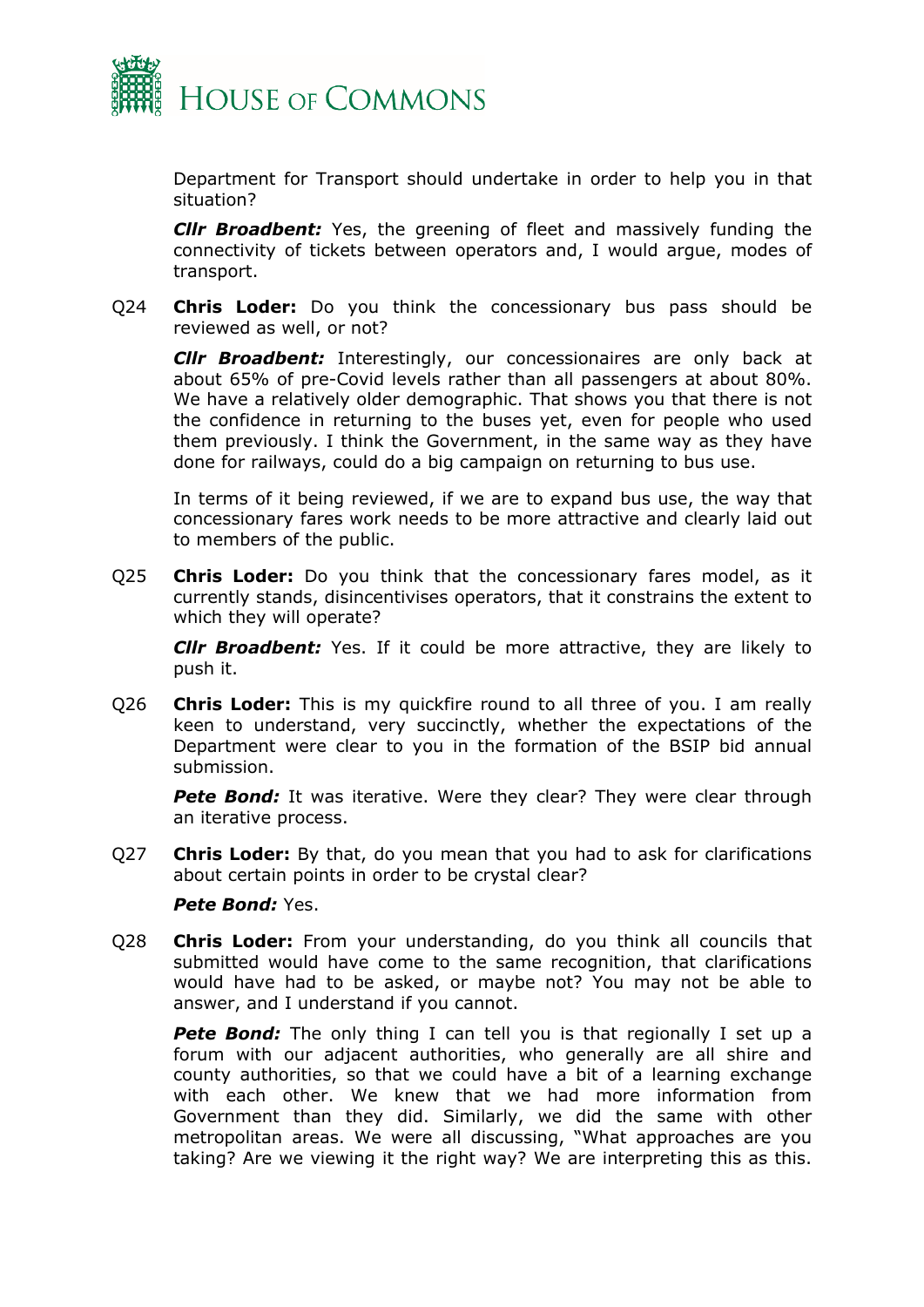

Department for Transport should undertake in order to help you in that situation?

*Cllr Broadbent:* Yes, the greening of fleet and massively funding the connectivity of tickets between operators and, I would argue, modes of transport.

Q24 **Chris Loder:** Do you think the concessionary bus pass should be reviewed as well, or not?

*Cllr Broadbent:* Interestingly, our concessionaires are only back at about 65% of pre-Covid levels rather than all passengers at about 80%. We have a relatively older demographic. That shows you that there is not the confidence in returning to the buses yet, even for people who used them previously. I think the Government, in the same way as they have done for railways, could do a big campaign on returning to bus use.

In terms of it being reviewed, if we are to expand bus use, the way that concessionary fares work needs to be more attractive and clearly laid out to members of the public.

Q25 **Chris Loder:** Do you think that the concessionary fares model, as it currently stands, disincentivises operators, that it constrains the extent to which they will operate?

*Cllr Broadbent:* Yes. If it could be more attractive, they are likely to push it.

Q26 **Chris Loder:** This is my quickfire round to all three of you. I am really keen to understand, very succinctly, whether the expectations of the Department were clear to you in the formation of the BSIP bid annual submission.

**Pete Bond:** It was iterative. Were they clear? They were clear through an iterative process.

Q27 **Chris Loder:** By that, do you mean that you had to ask for clarifications about certain points in order to be crystal clear?

#### *Pete Bond:* Yes.

Q28 **Chris Loder:** From your understanding, do you think all councils that submitted would have come to the same recognition, that clarifications would have had to be asked, or maybe not? You may not be able to answer, and I understand if you cannot.

**Pete Bond:** The only thing I can tell you is that regionally I set up a forum with our adjacent authorities, who generally are all shire and county authorities, so that we could have a bit of a learning exchange with each other. We knew that we had more information from Government than they did. Similarly, we did the same with other metropolitan areas. We were all discussing, "What approaches are you taking? Are we viewing it the right way? We are interpreting this as this.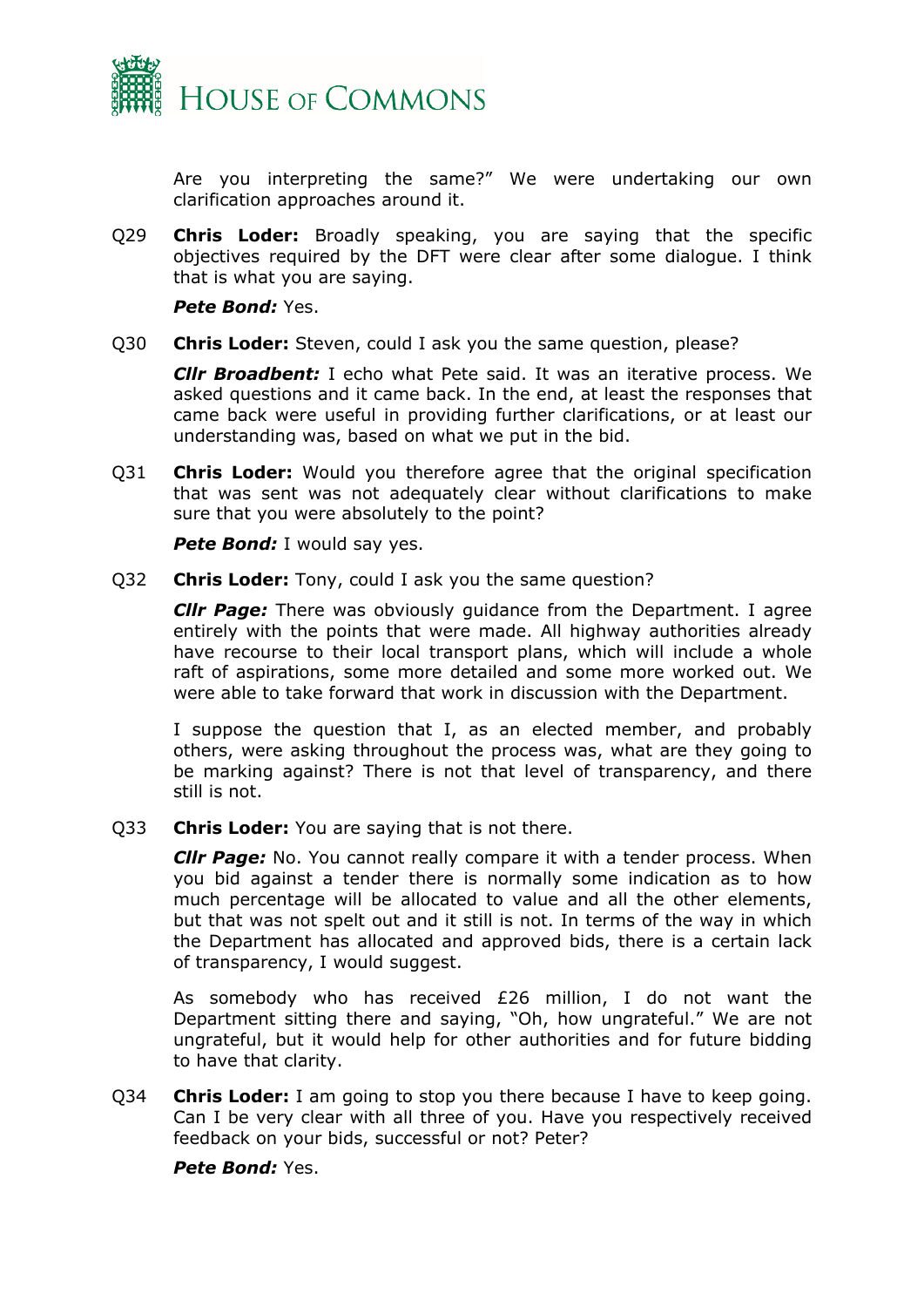

Are you interpreting the same?" We were undertaking our own clarification approaches around it.

Q29 **Chris Loder:** Broadly speaking, you are saying that the specific objectives required by the DFT were clear after some dialogue. I think that is what you are saying.

*Pete Bond:* Yes.

Q30 **Chris Loder:** Steven, could I ask you the same question, please?

*Cllr Broadbent:* I echo what Pete said. It was an iterative process. We asked questions and it came back. In the end, at least the responses that came back were useful in providing further clarifications, or at least our understanding was, based on what we put in the bid.

Q31 **Chris Loder:** Would you therefore agree that the original specification that was sent was not adequately clear without clarifications to make sure that you were absolutely to the point?

**Pete Bond:** I would say yes.

Q32 **Chris Loder:** Tony, could I ask you the same question?

*Cllr Page:* There was obviously guidance from the Department. I agree entirely with the points that were made. All highway authorities already have recourse to their local transport plans, which will include a whole raft of aspirations, some more detailed and some more worked out. We were able to take forward that work in discussion with the Department.

I suppose the question that I, as an elected member, and probably others, were asking throughout the process was, what are they going to be marking against? There is not that level of transparency, and there still is not.

Q33 **Chris Loder:** You are saying that is not there.

*Cllr Page:* No. You cannot really compare it with a tender process. When you bid against a tender there is normally some indication as to how much percentage will be allocated to value and all the other elements, but that was not spelt out and it still is not. In terms of the way in which the Department has allocated and approved bids, there is a certain lack of transparency, I would suggest.

As somebody who has received £26 million, I do not want the Department sitting there and saying, "Oh, how ungrateful." We are not ungrateful, but it would help for other authorities and for future bidding to have that clarity.

Q34 **Chris Loder:** I am going to stop you there because I have to keep going. Can I be very clear with all three of you. Have you respectively received feedback on your bids, successful or not? Peter?

*Pete Bond:* Yes.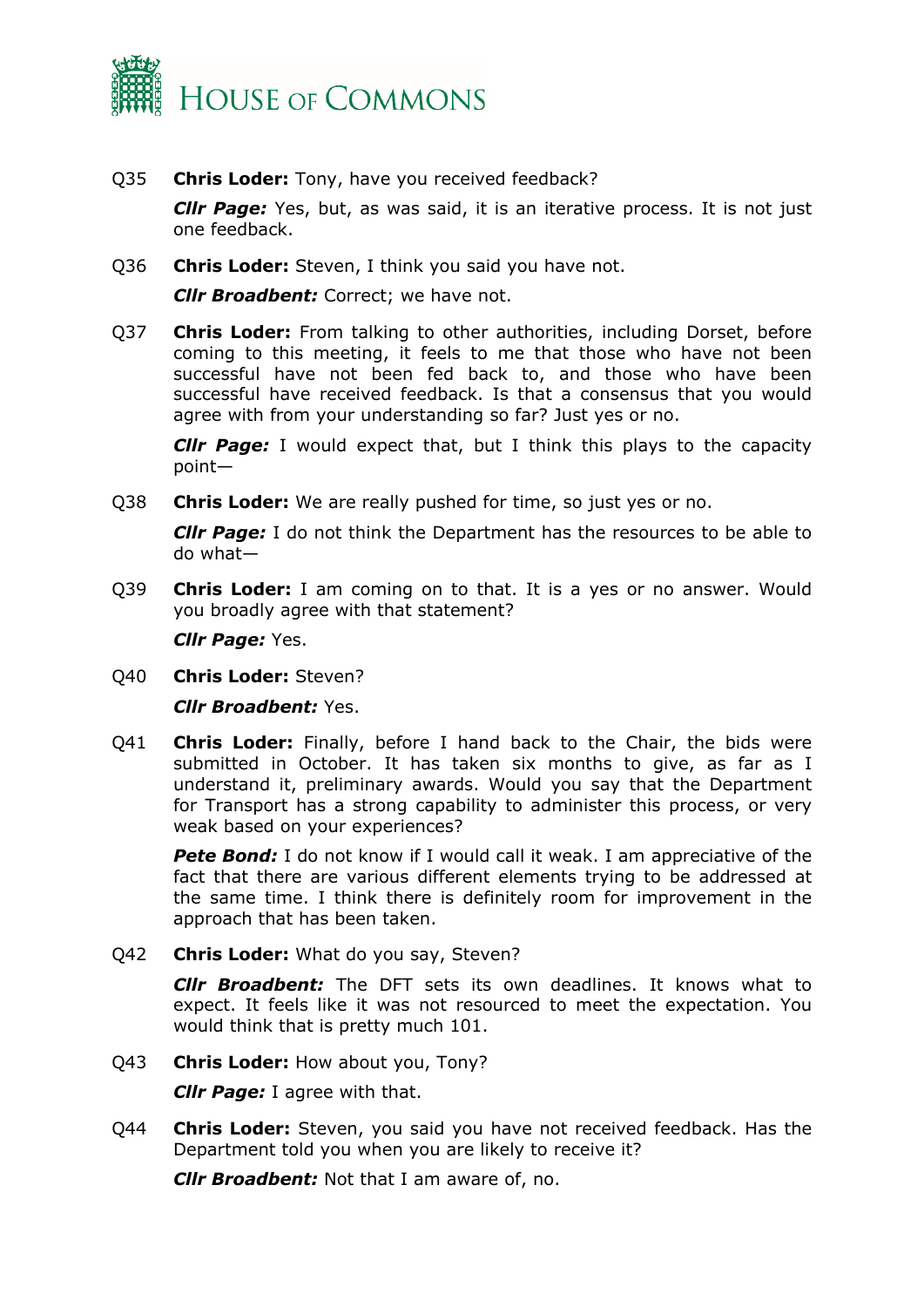

Q35 **Chris Loder:** Tony, have you received feedback?

*Cllr Page:* Yes, but, as was said, it is an iterative process. It is not just one feedback.

Q36 **Chris Loder:** Steven, I think you said you have not.

*Clir Broadbent: Correct; we have not.* 

Q37 **Chris Loder:** From talking to other authorities, including Dorset, before coming to this meeting, it feels to me that those who have not been successful have not been fed back to, and those who have been successful have received feedback. Is that a consensus that you would agree with from your understanding so far? Just yes or no.

*Cllr Page:* I would expect that, but I think this plays to the capacity point—

Q38 **Chris Loder:** We are really pushed for time, so just yes or no.

*Cllr Page:* I do not think the Department has the resources to be able to do what—

Q39 **Chris Loder:** I am coming on to that. It is a yes or no answer. Would you broadly agree with that statement?

*Cllr Page:* Yes.

Q40 **Chris Loder:** Steven?

*Cllr Broadbent:* Yes.

Q41 **Chris Loder:** Finally, before I hand back to the Chair, the bids were submitted in October. It has taken six months to give, as far as I understand it, preliminary awards. Would you say that the Department for Transport has a strong capability to administer this process, or very weak based on your experiences?

**Pete Bond:** I do not know if I would call it weak. I am appreciative of the fact that there are various different elements trying to be addressed at the same time. I think there is definitely room for improvement in the approach that has been taken.

Q42 **Chris Loder:** What do you say, Steven?

*Cllr Broadbent:* The DFT sets its own deadlines. It knows what to expect. It feels like it was not resourced to meet the expectation. You would think that is pretty much 101.

Q43 **Chris Loder:** How about you, Tony?

*Cllr Page:* I agree with that.

Q44 **Chris Loder:** Steven, you said you have not received feedback. Has the Department told you when you are likely to receive it?

*Cllr Broadbent:* Not that I am aware of, no.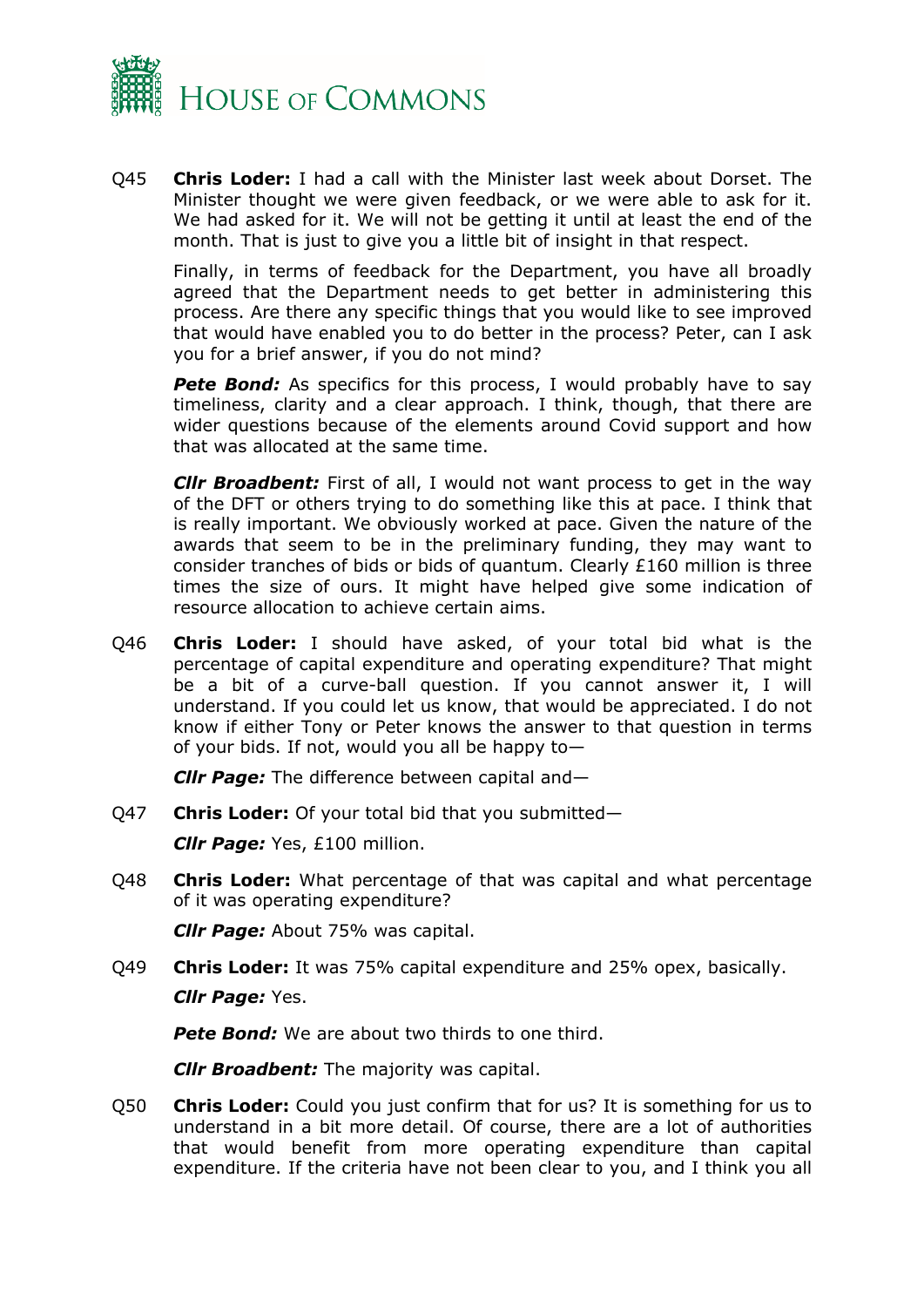

Q45 **Chris Loder:** I had a call with the Minister last week about Dorset. The Minister thought we were given feedback, or we were able to ask for it. We had asked for it. We will not be getting it until at least the end of the month. That is just to give you a little bit of insight in that respect.

Finally, in terms of feedback for the Department, you have all broadly agreed that the Department needs to get better in administering this process. Are there any specific things that you would like to see improved that would have enabled you to do better in the process? Peter, can I ask you for a brief answer, if you do not mind?

**Pete Bond:** As specifics for this process, I would probably have to say timeliness, clarity and a clear approach. I think, though, that there are wider questions because of the elements around Covid support and how that was allocated at the same time.

*Cllr Broadbent:* First of all, I would not want process to get in the way of the DFT or others trying to do something like this at pace. I think that is really important. We obviously worked at pace. Given the nature of the awards that seem to be in the preliminary funding, they may want to consider tranches of bids or bids of quantum. Clearly £160 million is three times the size of ours. It might have helped give some indication of resource allocation to achieve certain aims.

Q46 **Chris Loder:** I should have asked, of your total bid what is the percentage of capital expenditure and operating expenditure? That might be a bit of a curve-ball question. If you cannot answer it, I will understand. If you could let us know, that would be appreciated. I do not know if either Tony or Peter knows the answer to that question in terms of your bids. If not, would you all be happy to—

*Cllr Page:* The difference between capital and—

Q47 **Chris Loder:** Of your total bid that you submitted—

*Cllr Page:* Yes, £100 million.

Q48 **Chris Loder:** What percentage of that was capital and what percentage of it was operating expenditure?

*Cllr Page:* About 75% was capital.

Q49 **Chris Loder:** It was 75% capital expenditure and 25% opex, basically. *Cllr Page:* Yes.

**Pete Bond:** We are about two thirds to one third.

*Cllr Broadbent:* The majority was capital.

Q50 **Chris Loder:** Could you just confirm that for us? It is something for us to understand in a bit more detail. Of course, there are a lot of authorities that would benefit from more operating expenditure than capital expenditure. If the criteria have not been clear to you, and I think you all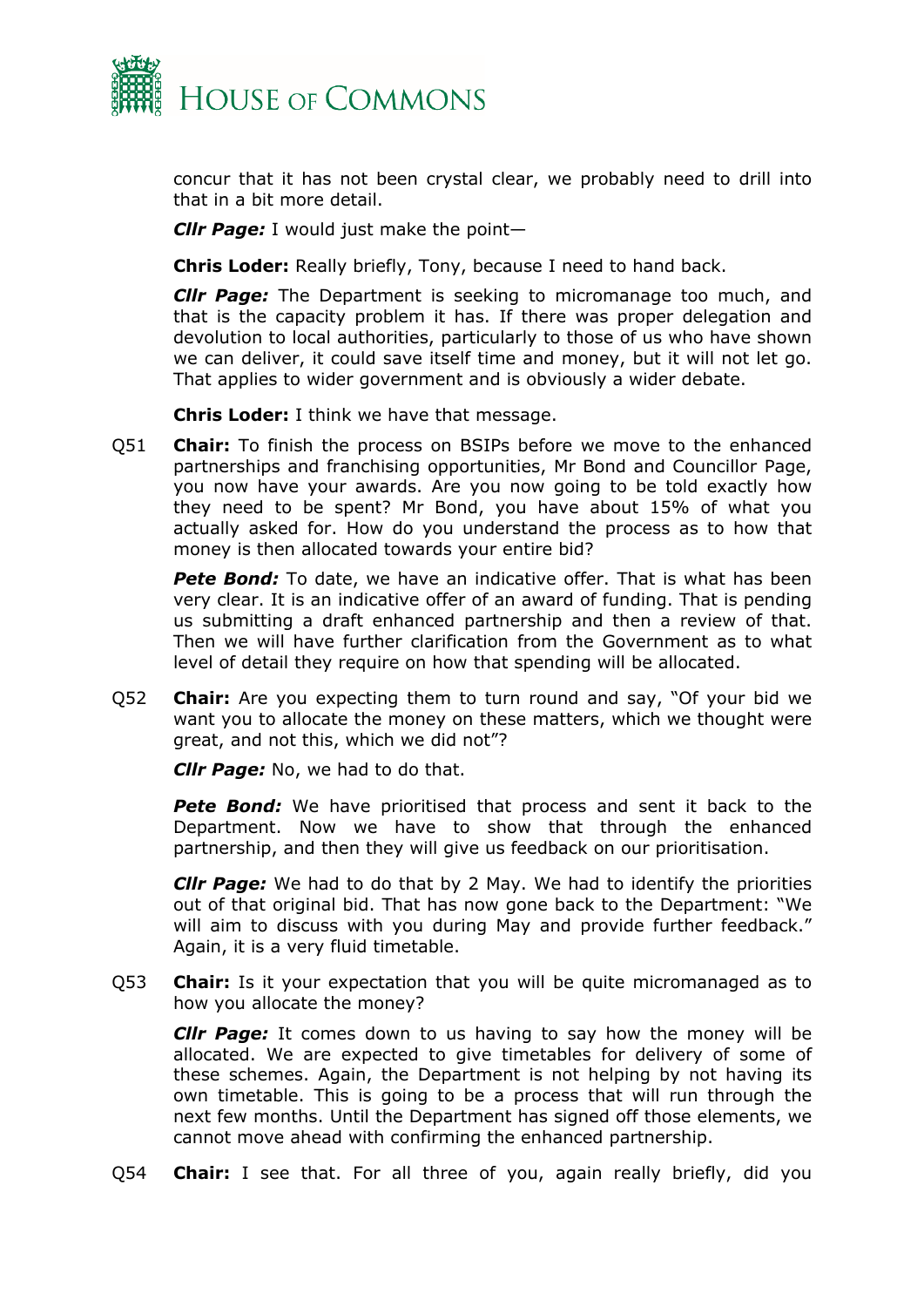

concur that it has not been crystal clear, we probably need to drill into that in a bit more detail.

*Cllr Page:* I would just make the point—

**Chris Loder:** Really briefly, Tony, because I need to hand back.

*Cllr Page:* The Department is seeking to micromanage too much, and that is the capacity problem it has. If there was proper delegation and devolution to local authorities, particularly to those of us who have shown we can deliver, it could save itself time and money, but it will not let go. That applies to wider government and is obviously a wider debate.

**Chris Loder:** I think we have that message.

Q51 **Chair:** To finish the process on BSIPs before we move to the enhanced partnerships and franchising opportunities, Mr Bond and Councillor Page, you now have your awards. Are you now going to be told exactly how they need to be spent? Mr Bond, you have about 15% of what you actually asked for. How do you understand the process as to how that money is then allocated towards your entire bid?

*Pete Bond:* To date, we have an indicative offer. That is what has been very clear. It is an indicative offer of an award of funding. That is pending us submitting a draft enhanced partnership and then a review of that. Then we will have further clarification from the Government as to what level of detail they require on how that spending will be allocated.

Q52 **Chair:** Are you expecting them to turn round and say, "Of your bid we want you to allocate the money on these matters, which we thought were great, and not this, which we did not"?

*Cllr Page:* No, we had to do that.

**Pete Bond:** We have prioritised that process and sent it back to the Department. Now we have to show that through the enhanced partnership, and then they will give us feedback on our prioritisation.

*Cllr Page:* We had to do that by 2 May. We had to identify the priorities out of that original bid. That has now gone back to the Department: "We will aim to discuss with you during May and provide further feedback." Again, it is a very fluid timetable.

Q53 **Chair:** Is it your expectation that you will be quite micromanaged as to how you allocate the money?

*Cllr Page:* It comes down to us having to say how the money will be allocated. We are expected to give timetables for delivery of some of these schemes. Again, the Department is not helping by not having its own timetable. This is going to be a process that will run through the next few months. Until the Department has signed off those elements, we cannot move ahead with confirming the enhanced partnership.

Q54 **Chair:** I see that. For all three of you, again really briefly, did you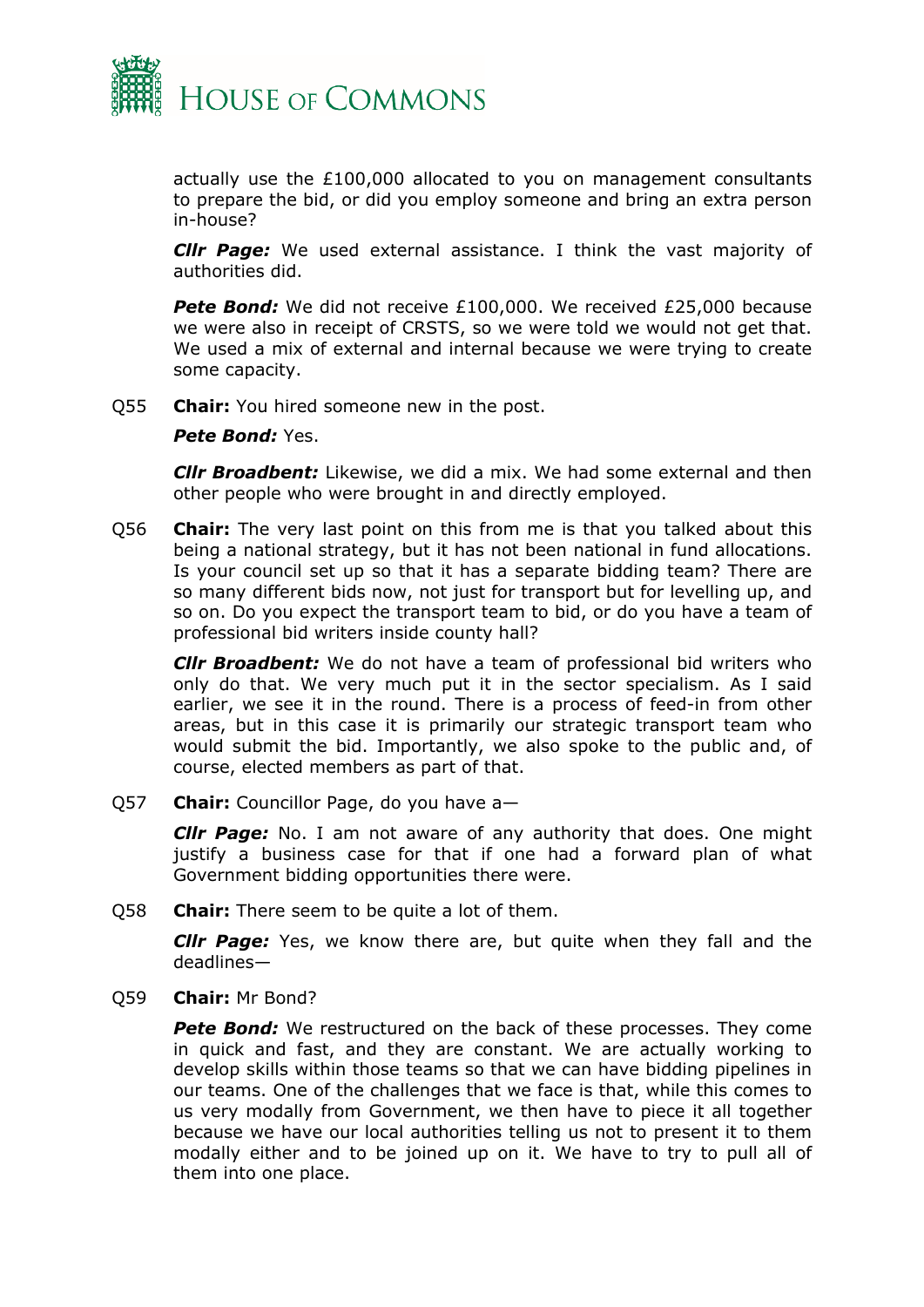

actually use the £100,000 allocated to you on management consultants to prepare the bid, or did you employ someone and bring an extra person in-house?

*Cllr Page:* We used external assistance. I think the vast majority of authorities did.

**Pete Bond:** We did not receive £100,000. We received £25,000 because we were also in receipt of CRSTS, so we were told we would not get that. We used a mix of external and internal because we were trying to create some capacity.

Q55 **Chair:** You hired someone new in the post.

#### *Pete Bond:* Yes.

*Cllr Broadbent:* Likewise, we did a mix. We had some external and then other people who were brought in and directly employed.

Q56 **Chair:** The very last point on this from me is that you talked about this being a national strategy, but it has not been national in fund allocations. Is your council set up so that it has a separate bidding team? There are so many different bids now, not just for transport but for levelling up, and so on. Do you expect the transport team to bid, or do you have a team of professional bid writers inside county hall?

*Cllr Broadbent:* We do not have a team of professional bid writers who only do that. We very much put it in the sector specialism. As I said earlier, we see it in the round. There is a process of feed-in from other areas, but in this case it is primarily our strategic transport team who would submit the bid. Importantly, we also spoke to the public and, of course, elected members as part of that.

Q57 **Chair:** Councillor Page, do you have a—

*Cllr Page:* No. I am not aware of any authority that does. One might justify a business case for that if one had a forward plan of what Government bidding opportunities there were.

Q58 **Chair:** There seem to be quite a lot of them.

*Cllr Page:* Yes, we know there are, but quite when they fall and the deadlines—

Q59 **Chair:** Mr Bond?

**Pete Bond:** We restructured on the back of these processes. They come in quick and fast, and they are constant. We are actually working to develop skills within those teams so that we can have bidding pipelines in our teams. One of the challenges that we face is that, while this comes to us very modally from Government, we then have to piece it all together because we have our local authorities telling us not to present it to them modally either and to be joined up on it. We have to try to pull all of them into one place.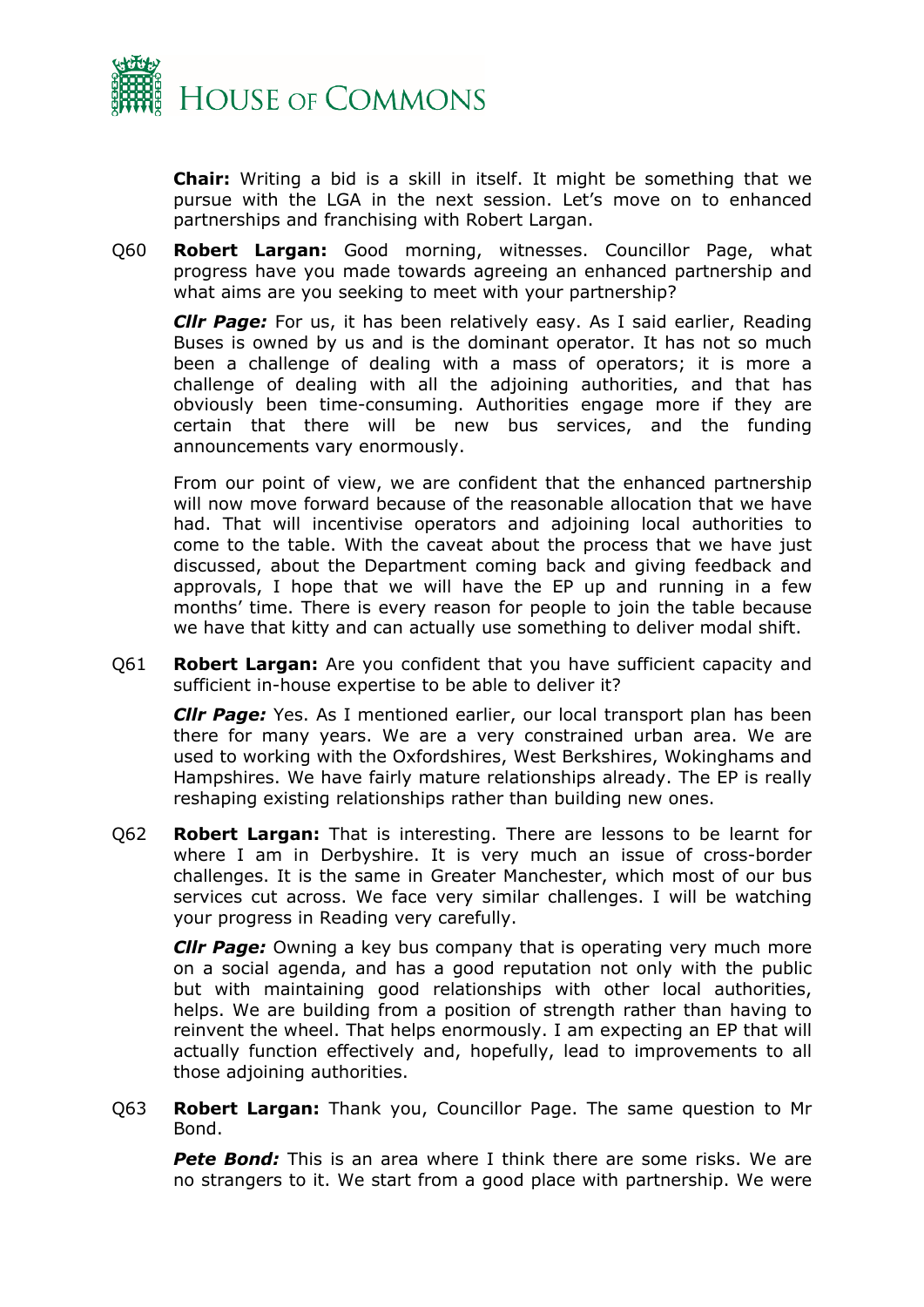

**Chair:** Writing a bid is a skill in itself. It might be something that we pursue with the LGA in the next session. Let's move on to enhanced partnerships and franchising with Robert Largan.

Q60 **Robert Largan:** Good morning, witnesses. Councillor Page, what progress have you made towards agreeing an enhanced partnership and what aims are you seeking to meet with your partnership?

*Cllr Page:* For us, it has been relatively easy. As I said earlier, Reading Buses is owned by us and is the dominant operator. It has not so much been a challenge of dealing with a mass of operators; it is more a challenge of dealing with all the adjoining authorities, and that has obviously been time-consuming. Authorities engage more if they are certain that there will be new bus services, and the funding announcements vary enormously.

From our point of view, we are confident that the enhanced partnership will now move forward because of the reasonable allocation that we have had. That will incentivise operators and adjoining local authorities to come to the table. With the caveat about the process that we have just discussed, about the Department coming back and giving feedback and approvals, I hope that we will have the EP up and running in a few months' time. There is every reason for people to join the table because we have that kitty and can actually use something to deliver modal shift.

Q61 **Robert Largan:** Are you confident that you have sufficient capacity and sufficient in-house expertise to be able to deliver it?

*Cllr Page:* Yes. As I mentioned earlier, our local transport plan has been there for many years. We are a very constrained urban area. We are used to working with the Oxfordshires, West Berkshires, Wokinghams and Hampshires. We have fairly mature relationships already. The EP is really reshaping existing relationships rather than building new ones.

Q62 **Robert Largan:** That is interesting. There are lessons to be learnt for where I am in Derbyshire. It is very much an issue of cross-border challenges. It is the same in Greater Manchester, which most of our bus services cut across. We face very similar challenges. I will be watching your progress in Reading very carefully.

*Cllr Page:* Owning a key bus company that is operating very much more on a social agenda, and has a good reputation not only with the public but with maintaining good relationships with other local authorities, helps. We are building from a position of strength rather than having to reinvent the wheel. That helps enormously. I am expecting an EP that will actually function effectively and, hopefully, lead to improvements to all those adjoining authorities.

Q63 **Robert Largan:** Thank you, Councillor Page. The same question to Mr Bond.

*Pete Bond:* This is an area where I think there are some risks. We are no strangers to it. We start from a good place with partnership. We were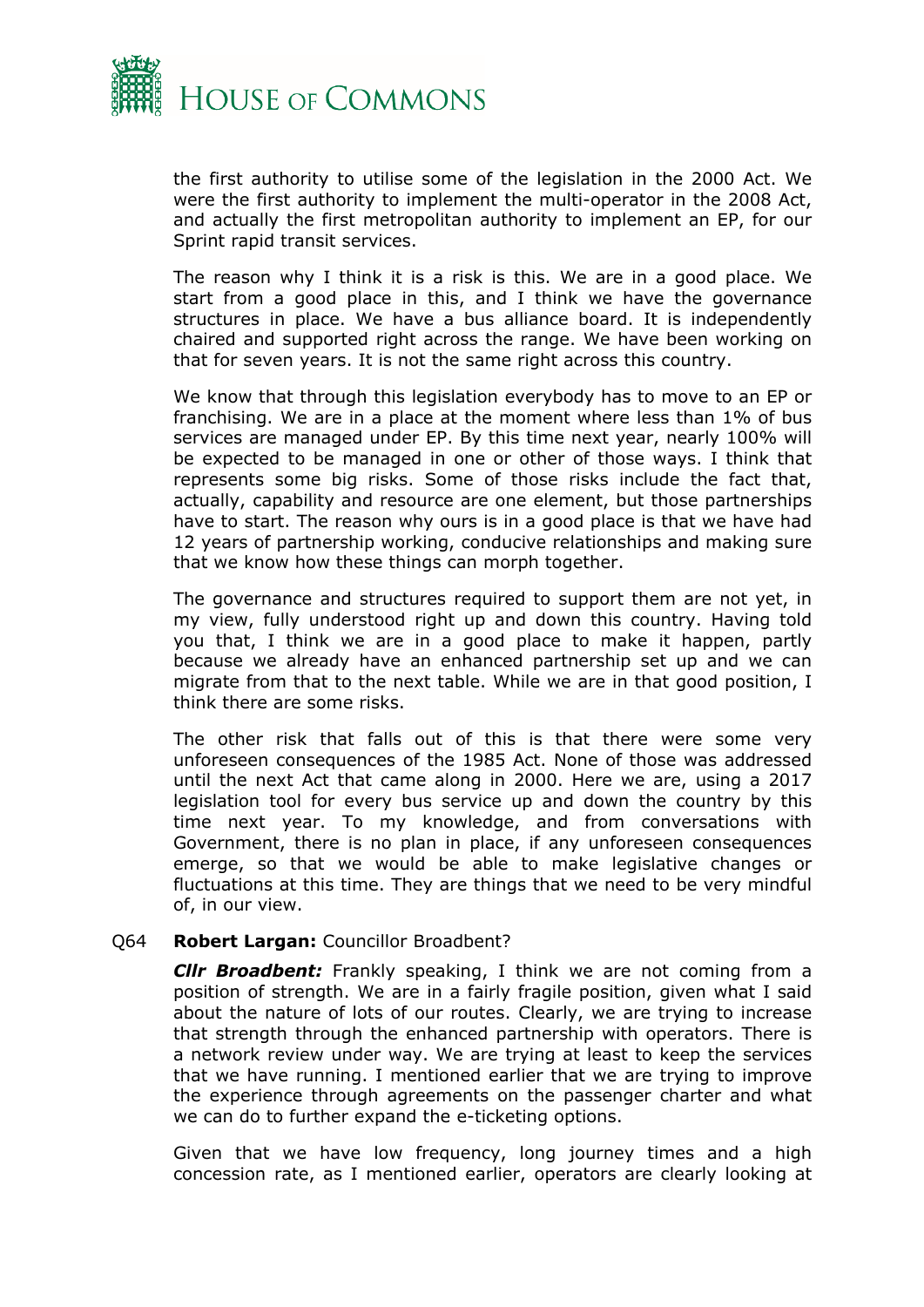

the first authority to utilise some of the legislation in the 2000 Act. We were the first authority to implement the multi-operator in the 2008 Act, and actually the first metropolitan authority to implement an EP, for our Sprint rapid transit services.

The reason why I think it is a risk is this. We are in a good place. We start from a good place in this, and I think we have the governance structures in place. We have a bus alliance board. It is independently chaired and supported right across the range. We have been working on that for seven years. It is not the same right across this country.

We know that through this legislation everybody has to move to an EP or franchising. We are in a place at the moment where less than 1% of bus services are managed under EP. By this time next year, nearly 100% will be expected to be managed in one or other of those ways. I think that represents some big risks. Some of those risks include the fact that, actually, capability and resource are one element, but those partnerships have to start. The reason why ours is in a good place is that we have had 12 years of partnership working, conducive relationships and making sure that we know how these things can morph together.

The governance and structures required to support them are not yet, in my view, fully understood right up and down this country. Having told you that, I think we are in a good place to make it happen, partly because we already have an enhanced partnership set up and we can migrate from that to the next table. While we are in that good position, I think there are some risks.

The other risk that falls out of this is that there were some very unforeseen consequences of the 1985 Act. None of those was addressed until the next Act that came along in 2000. Here we are, using a 2017 legislation tool for every bus service up and down the country by this time next year. To my knowledge, and from conversations with Government, there is no plan in place, if any unforeseen consequences emerge, so that we would be able to make legislative changes or fluctuations at this time. They are things that we need to be very mindful of, in our view.

#### Q64 **Robert Largan:** Councillor Broadbent?

*Cllr Broadbent:* Frankly speaking, I think we are not coming from a position of strength. We are in a fairly fragile position, given what I said about the nature of lots of our routes. Clearly, we are trying to increase that strength through the enhanced partnership with operators. There is a network review under way. We are trying at least to keep the services that we have running. I mentioned earlier that we are trying to improve the experience through agreements on the passenger charter and what we can do to further expand the e-ticketing options.

Given that we have low frequency, long journey times and a high concession rate, as I mentioned earlier, operators are clearly looking at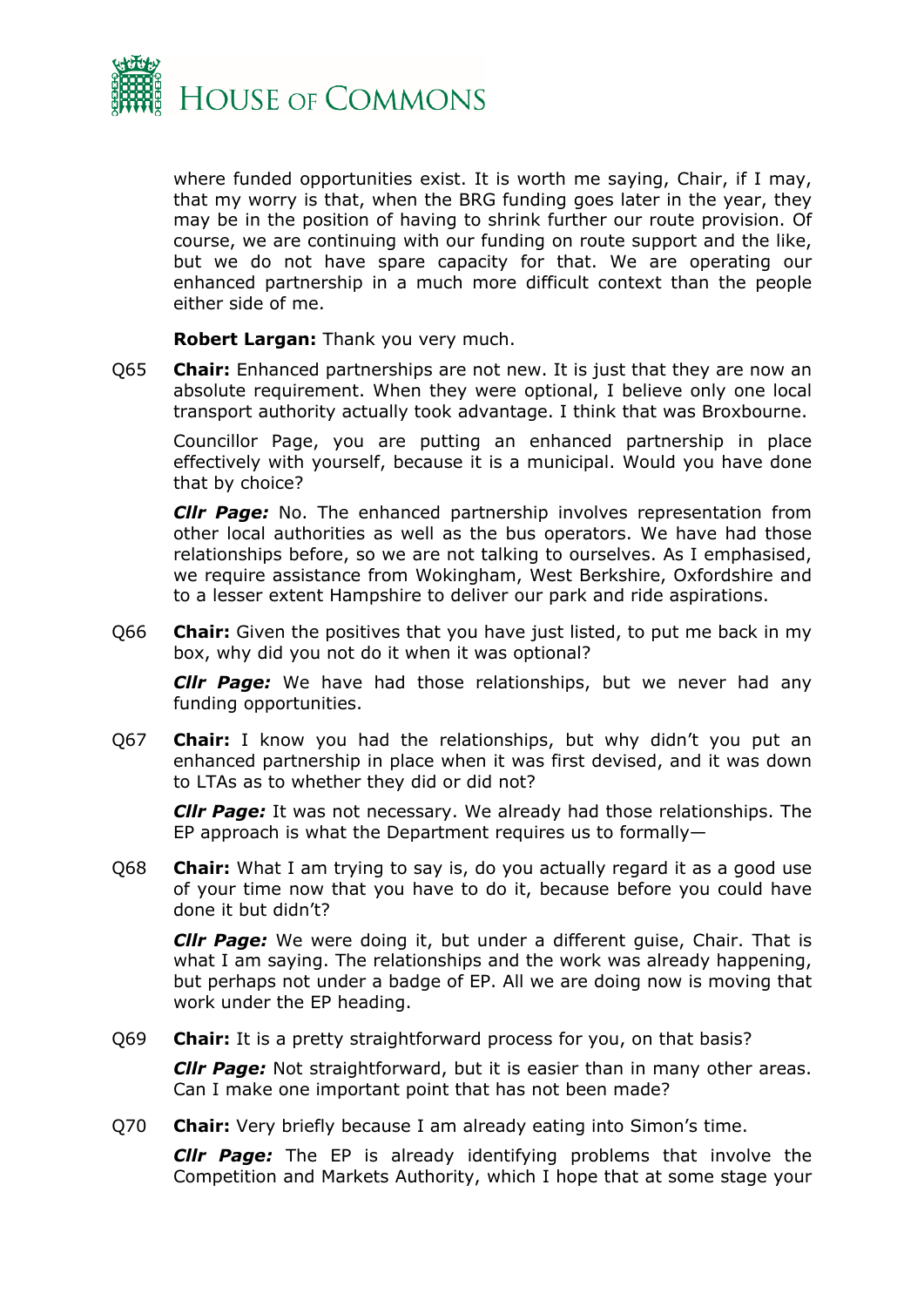

where funded opportunities exist. It is worth me saying, Chair, if I may, that my worry is that, when the BRG funding goes later in the year, they may be in the position of having to shrink further our route provision. Of course, we are continuing with our funding on route support and the like, but we do not have spare capacity for that. We are operating our enhanced partnership in a much more difficult context than the people either side of me.

**Robert Largan:** Thank you very much.

Q65 **Chair:** Enhanced partnerships are not new. It is just that they are now an absolute requirement. When they were optional, I believe only one local transport authority actually took advantage. I think that was Broxbourne.

Councillor Page, you are putting an enhanced partnership in place effectively with yourself, because it is a municipal. Would you have done that by choice?

*Cllr Page:* No. The enhanced partnership involves representation from other local authorities as well as the bus operators. We have had those relationships before, so we are not talking to ourselves. As I emphasised, we require assistance from Wokingham, West Berkshire, Oxfordshire and to a lesser extent Hampshire to deliver our park and ride aspirations.

Q66 **Chair:** Given the positives that you have just listed, to put me back in my box, why did you not do it when it was optional?

*Cllr Page:* We have had those relationships, but we never had any funding opportunities.

Q67 **Chair:** I know you had the relationships, but why didn't you put an enhanced partnership in place when it was first devised, and it was down to LTAs as to whether they did or did not?

*Cllr Page:* It was not necessary. We already had those relationships. The EP approach is what the Department requires us to formally—

Q68 **Chair:** What I am trying to say is, do you actually regard it as a good use of your time now that you have to do it, because before you could have done it but didn't?

*Cllr Page:* We were doing it, but under a different guise, Chair. That is what I am saying. The relationships and the work was already happening, but perhaps not under a badge of EP. All we are doing now is moving that work under the EP heading.

Q69 **Chair:** It is a pretty straightforward process for you, on that basis?

*Cllr Page:* Not straightforward, but it is easier than in many other areas. Can I make one important point that has not been made?

Q70 **Chair:** Very briefly because I am already eating into Simon's time.

*Cllr Page:* The EP is already identifying problems that involve the Competition and Markets Authority, which I hope that at some stage your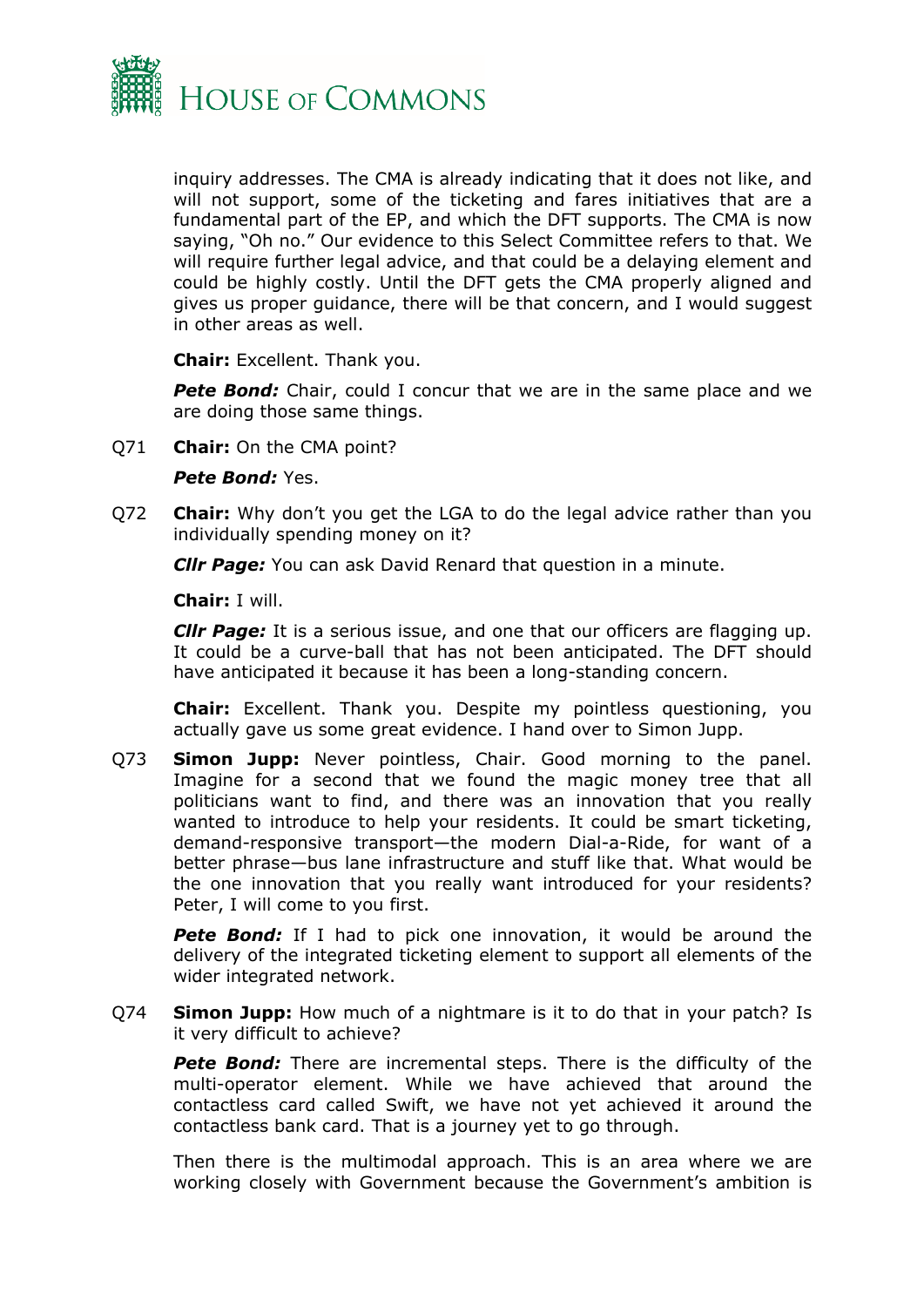

inquiry addresses. The CMA is already indicating that it does not like, and will not support, some of the ticketing and fares initiatives that are a fundamental part of the EP, and which the DFT supports. The CMA is now saying, "Oh no." Our evidence to this Select Committee refers to that. We will require further legal advice, and that could be a delaying element and could be highly costly. Until the DFT gets the CMA properly aligned and gives us proper guidance, there will be that concern, and I would suggest in other areas as well.

**Chair:** Excellent. Thank you.

**Pete Bond:** Chair, could I concur that we are in the same place and we are doing those same things.

Q71 **Chair:** On the CMA point?

#### *Pete Bond: Yes.*

Q72 **Chair:** Why don't you get the LGA to do the legal advice rather than you individually spending money on it?

*Cllr Page:* You can ask David Renard that question in a minute.

**Chair:** I will.

*Cllr Page:* It is a serious issue, and one that our officers are flagging up. It could be a curve-ball that has not been anticipated. The DFT should have anticipated it because it has been a long-standing concern.

**Chair:** Excellent. Thank you. Despite my pointless questioning, you actually gave us some great evidence. I hand over to Simon Jupp.

Q73 **Simon Jupp:** Never pointless, Chair. Good morning to the panel. Imagine for a second that we found the magic money tree that all politicians want to find, and there was an innovation that you really wanted to introduce to help your residents. It could be smart ticketing, demand-responsive transport—the modern Dial-a-Ride, for want of a better phrase—bus lane infrastructure and stuff like that. What would be the one innovation that you really want introduced for your residents? Peter, I will come to you first.

**Pete Bond:** If I had to pick one innovation, it would be around the delivery of the integrated ticketing element to support all elements of the wider integrated network.

Q74 **Simon Jupp:** How much of a nightmare is it to do that in your patch? Is it very difficult to achieve?

**Pete Bond:** There are incremental steps. There is the difficulty of the multi-operator element. While we have achieved that around the contactless card called Swift, we have not yet achieved it around the contactless bank card. That is a journey yet to go through.

Then there is the multimodal approach. This is an area where we are working closely with Government because the Government's ambition is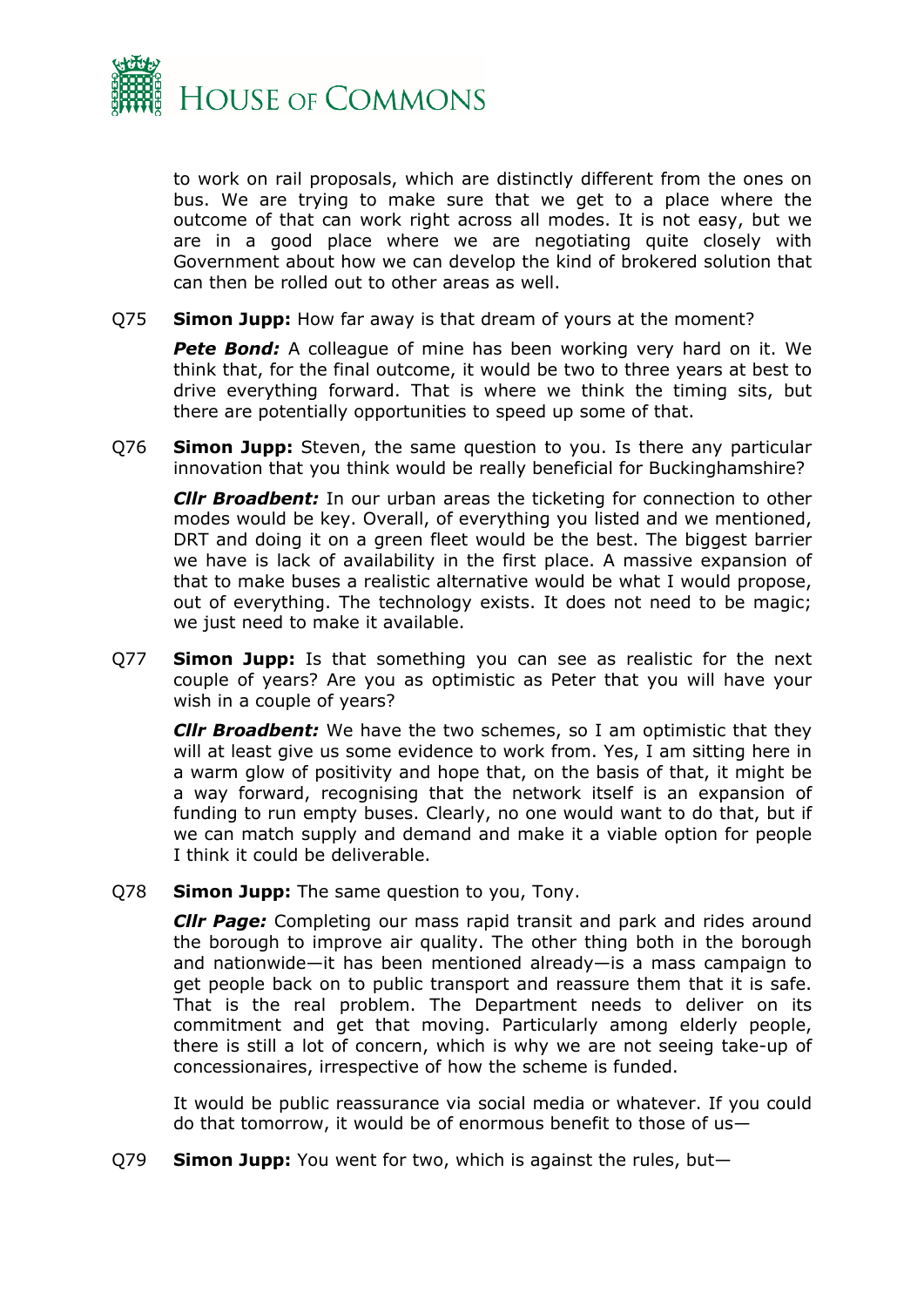

to work on rail proposals, which are distinctly different from the ones on bus. We are trying to make sure that we get to a place where the outcome of that can work right across all modes. It is not easy, but we are in a good place where we are negotiating quite closely with Government about how we can develop the kind of brokered solution that can then be rolled out to other areas as well.

Q75 **Simon Jupp:** How far away is that dream of yours at the moment?

**Pete Bond:** A colleague of mine has been working very hard on it. We think that, for the final outcome, it would be two to three years at best to drive everything forward. That is where we think the timing sits, but there are potentially opportunities to speed up some of that.

Q76 **Simon Jupp:** Steven, the same question to you. Is there any particular innovation that you think would be really beneficial for Buckinghamshire?

*Cllr Broadbent:* In our urban areas the ticketing for connection to other modes would be key. Overall, of everything you listed and we mentioned, DRT and doing it on a green fleet would be the best. The biggest barrier we have is lack of availability in the first place. A massive expansion of that to make buses a realistic alternative would be what I would propose, out of everything. The technology exists. It does not need to be magic; we just need to make it available.

Q77 **Simon Jupp:** Is that something you can see as realistic for the next couple of years? Are you as optimistic as Peter that you will have your wish in a couple of years?

*Cllr Broadbent:* We have the two schemes, so I am optimistic that they will at least give us some evidence to work from. Yes, I am sitting here in a warm glow of positivity and hope that, on the basis of that, it might be a way forward, recognising that the network itself is an expansion of funding to run empty buses. Clearly, no one would want to do that, but if we can match supply and demand and make it a viable option for people I think it could be deliverable.

Q78 **Simon Jupp:** The same question to you, Tony.

*Cllr Page:* Completing our mass rapid transit and park and rides around the borough to improve air quality. The other thing both in the borough and nationwide—it has been mentioned already—is a mass campaign to get people back on to public transport and reassure them that it is safe. That is the real problem. The Department needs to deliver on its commitment and get that moving. Particularly among elderly people, there is still a lot of concern, which is why we are not seeing take-up of concessionaires, irrespective of how the scheme is funded.

It would be public reassurance via social media or whatever. If you could do that tomorrow, it would be of enormous benefit to those of us—

Q79 **Simon Jupp:** You went for two, which is against the rules, but—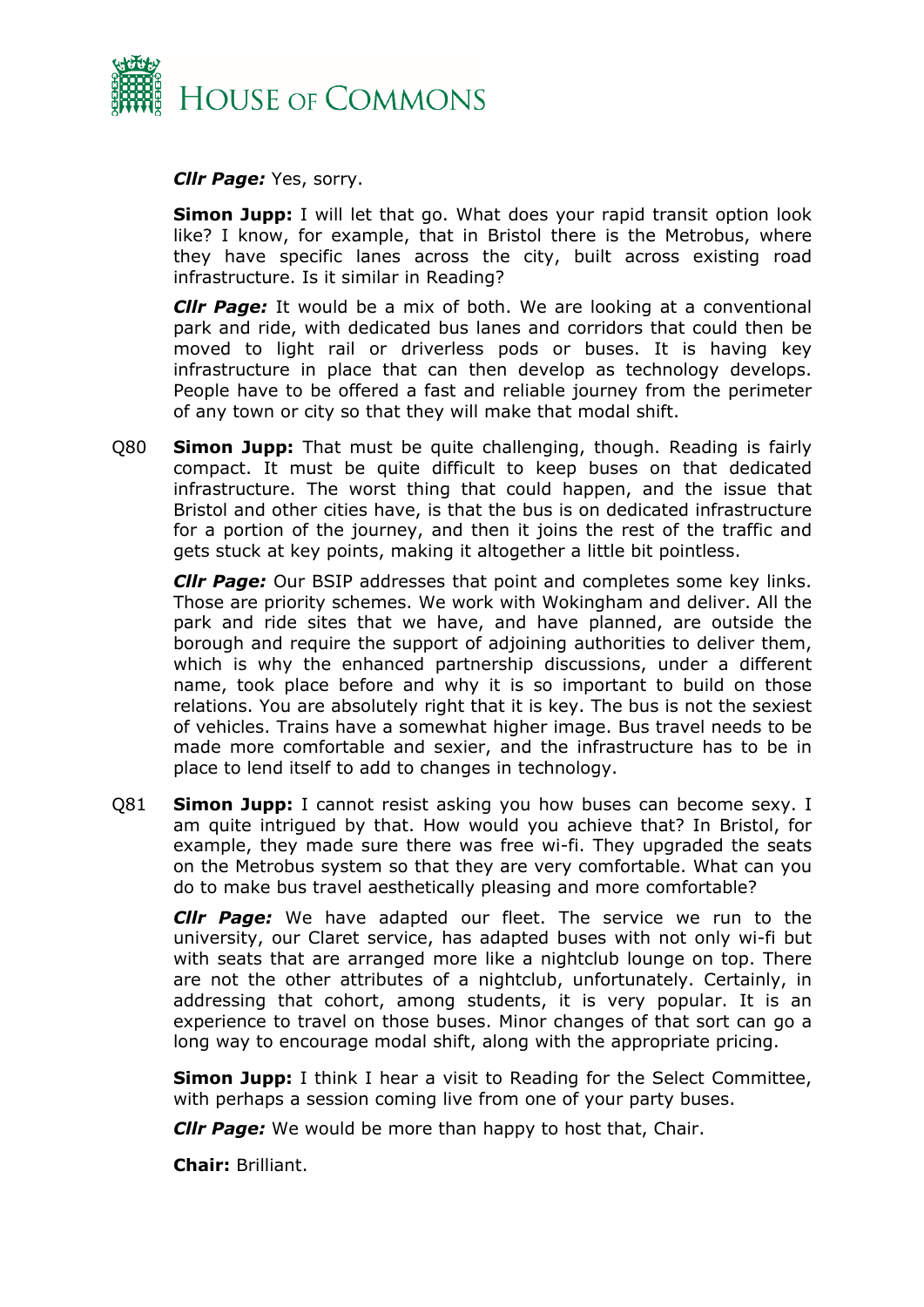

*Cllr Page:* Yes, sorry.

**Simon Jupp:** I will let that go. What does your rapid transit option look like? I know, for example, that in Bristol there is the Metrobus, where they have specific lanes across the city, built across existing road infrastructure. Is it similar in Reading?

*Cllr Page:* It would be a mix of both. We are looking at a conventional park and ride, with dedicated bus lanes and corridors that could then be moved to light rail or driverless pods or buses. It is having key infrastructure in place that can then develop as technology develops. People have to be offered a fast and reliable journey from the perimeter of any town or city so that they will make that modal shift.

Q80 **Simon Jupp:** That must be quite challenging, though. Reading is fairly compact. It must be quite difficult to keep buses on that dedicated infrastructure. The worst thing that could happen, and the issue that Bristol and other cities have, is that the bus is on dedicated infrastructure for a portion of the journey, and then it joins the rest of the traffic and gets stuck at key points, making it altogether a little bit pointless.

*Cllr Page:* Our BSIP addresses that point and completes some key links. Those are priority schemes. We work with Wokingham and deliver. All the park and ride sites that we have, and have planned, are outside the borough and require the support of adjoining authorities to deliver them, which is why the enhanced partnership discussions, under a different name, took place before and why it is so important to build on those relations. You are absolutely right that it is key. The bus is not the sexiest of vehicles. Trains have a somewhat higher image. Bus travel needs to be made more comfortable and sexier, and the infrastructure has to be in place to lend itself to add to changes in technology.

Q81 **Simon Jupp:** I cannot resist asking you how buses can become sexy. I am quite intrigued by that. How would you achieve that? In Bristol, for example, they made sure there was free wi-fi. They upgraded the seats on the Metrobus system so that they are very comfortable. What can you do to make bus travel aesthetically pleasing and more comfortable?

*Cllr Page:* We have adapted our fleet. The service we run to the university, our Claret service, has adapted buses with not only wi-fi but with seats that are arranged more like a nightclub lounge on top. There are not the other attributes of a nightclub, unfortunately. Certainly, in addressing that cohort, among students, it is very popular. It is an experience to travel on those buses. Minor changes of that sort can go a long way to encourage modal shift, along with the appropriate pricing.

**Simon Jupp:** I think I hear a visit to Reading for the Select Committee, with perhaps a session coming live from one of your party buses.

*Cllr Page:* We would be more than happy to host that, Chair.

**Chair:** Brilliant.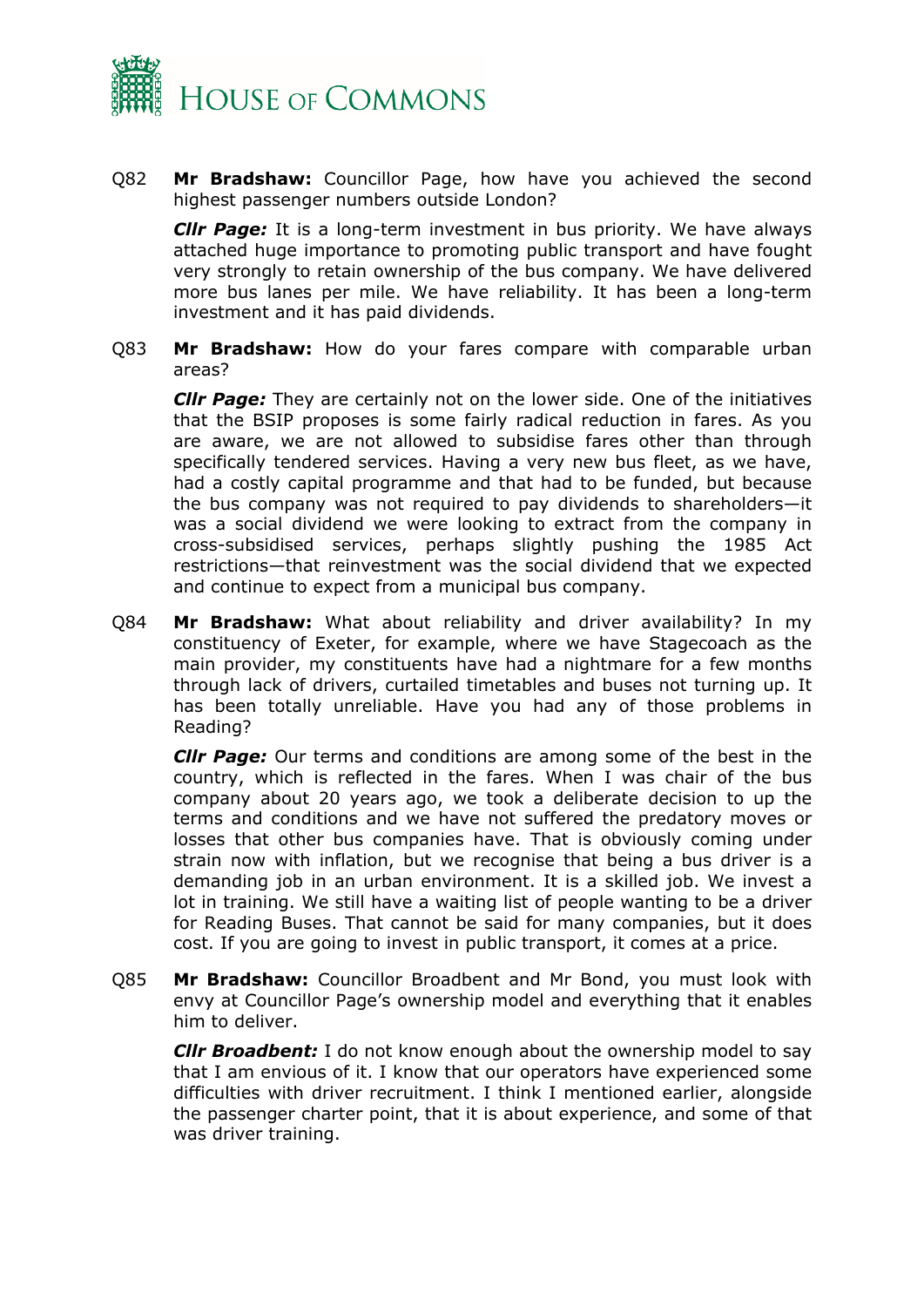

Q82 **Mr Bradshaw:** Councillor Page, how have you achieved the second highest passenger numbers outside London?

*Cllr Page:* It is a long-term investment in bus priority. We have always attached huge importance to promoting public transport and have fought very strongly to retain ownership of the bus company. We have delivered more bus lanes per mile. We have reliability. It has been a long-term investment and it has paid dividends.

Q83 **Mr Bradshaw:** How do your fares compare with comparable urban areas?

*Cllr Page:* They are certainly not on the lower side. One of the initiatives that the BSIP proposes is some fairly radical reduction in fares. As you are aware, we are not allowed to subsidise fares other than through specifically tendered services. Having a very new bus fleet, as we have, had a costly capital programme and that had to be funded, but because the bus company was not required to pay dividends to shareholders—it was a social dividend we were looking to extract from the company in cross-subsidised services, perhaps slightly pushing the 1985 Act restrictions—that reinvestment was the social dividend that we expected and continue to expect from a municipal bus company.

Q84 **Mr Bradshaw:** What about reliability and driver availability? In my constituency of Exeter, for example, where we have Stagecoach as the main provider, my constituents have had a nightmare for a few months through lack of drivers, curtailed timetables and buses not turning up. It has been totally unreliable. Have you had any of those problems in Reading?

*Cllr Page:* Our terms and conditions are among some of the best in the country, which is reflected in the fares. When I was chair of the bus company about 20 years ago, we took a deliberate decision to up the terms and conditions and we have not suffered the predatory moves or losses that other bus companies have. That is obviously coming under strain now with inflation, but we recognise that being a bus driver is a demanding job in an urban environment. It is a skilled job. We invest a lot in training. We still have a waiting list of people wanting to be a driver for Reading Buses. That cannot be said for many companies, but it does cost. If you are going to invest in public transport, it comes at a price.

Q85 **Mr Bradshaw:** Councillor Broadbent and Mr Bond, you must look with envy at Councillor Page's ownership model and everything that it enables him to deliver.

*Cllr Broadbent:* I do not know enough about the ownership model to say that I am envious of it. I know that our operators have experienced some difficulties with driver recruitment. I think I mentioned earlier, alongside the passenger charter point, that it is about experience, and some of that was driver training.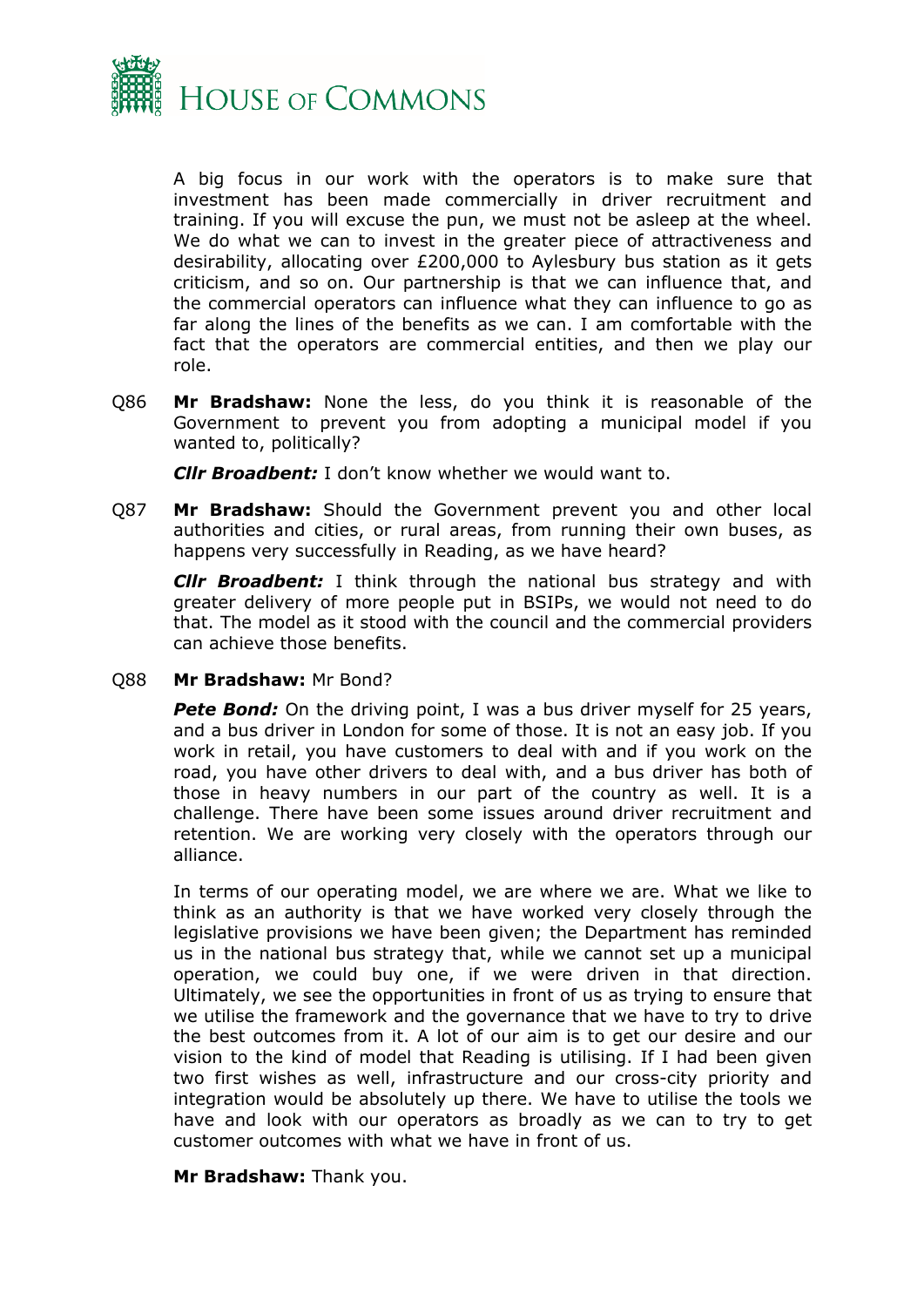

A big focus in our work with the operators is to make sure that investment has been made commercially in driver recruitment and training. If you will excuse the pun, we must not be asleep at the wheel. We do what we can to invest in the greater piece of attractiveness and desirability, allocating over £200,000 to Aylesbury bus station as it gets criticism, and so on. Our partnership is that we can influence that, and the commercial operators can influence what they can influence to go as far along the lines of the benefits as we can. I am comfortable with the fact that the operators are commercial entities, and then we play our role.

Q86 **Mr Bradshaw:** None the less, do you think it is reasonable of the Government to prevent you from adopting a municipal model if you wanted to, politically?

*Cllr Broadbent:* I don't know whether we would want to.

Q87 **Mr Bradshaw:** Should the Government prevent you and other local authorities and cities, or rural areas, from running their own buses, as happens very successfully in Reading, as we have heard?

*Cllr Broadbent:* I think through the national bus strategy and with greater delivery of more people put in BSIPs, we would not need to do that. The model as it stood with the council and the commercial providers can achieve those benefits.

Q88 **Mr Bradshaw:** Mr Bond?

**Pete Bond:** On the driving point, I was a bus driver myself for 25 years, and a bus driver in London for some of those. It is not an easy job. If you work in retail, you have customers to deal with and if you work on the road, you have other drivers to deal with, and a bus driver has both of those in heavy numbers in our part of the country as well. It is a challenge. There have been some issues around driver recruitment and retention. We are working very closely with the operators through our alliance.

In terms of our operating model, we are where we are. What we like to think as an authority is that we have worked very closely through the legislative provisions we have been given; the Department has reminded us in the national bus strategy that, while we cannot set up a municipal operation, we could buy one, if we were driven in that direction. Ultimately, we see the opportunities in front of us as trying to ensure that we utilise the framework and the governance that we have to try to drive the best outcomes from it. A lot of our aim is to get our desire and our vision to the kind of model that Reading is utilising. If I had been given two first wishes as well, infrastructure and our cross-city priority and integration would be absolutely up there. We have to utilise the tools we have and look with our operators as broadly as we can to try to get customer outcomes with what we have in front of us.

#### **Mr Bradshaw:** Thank you.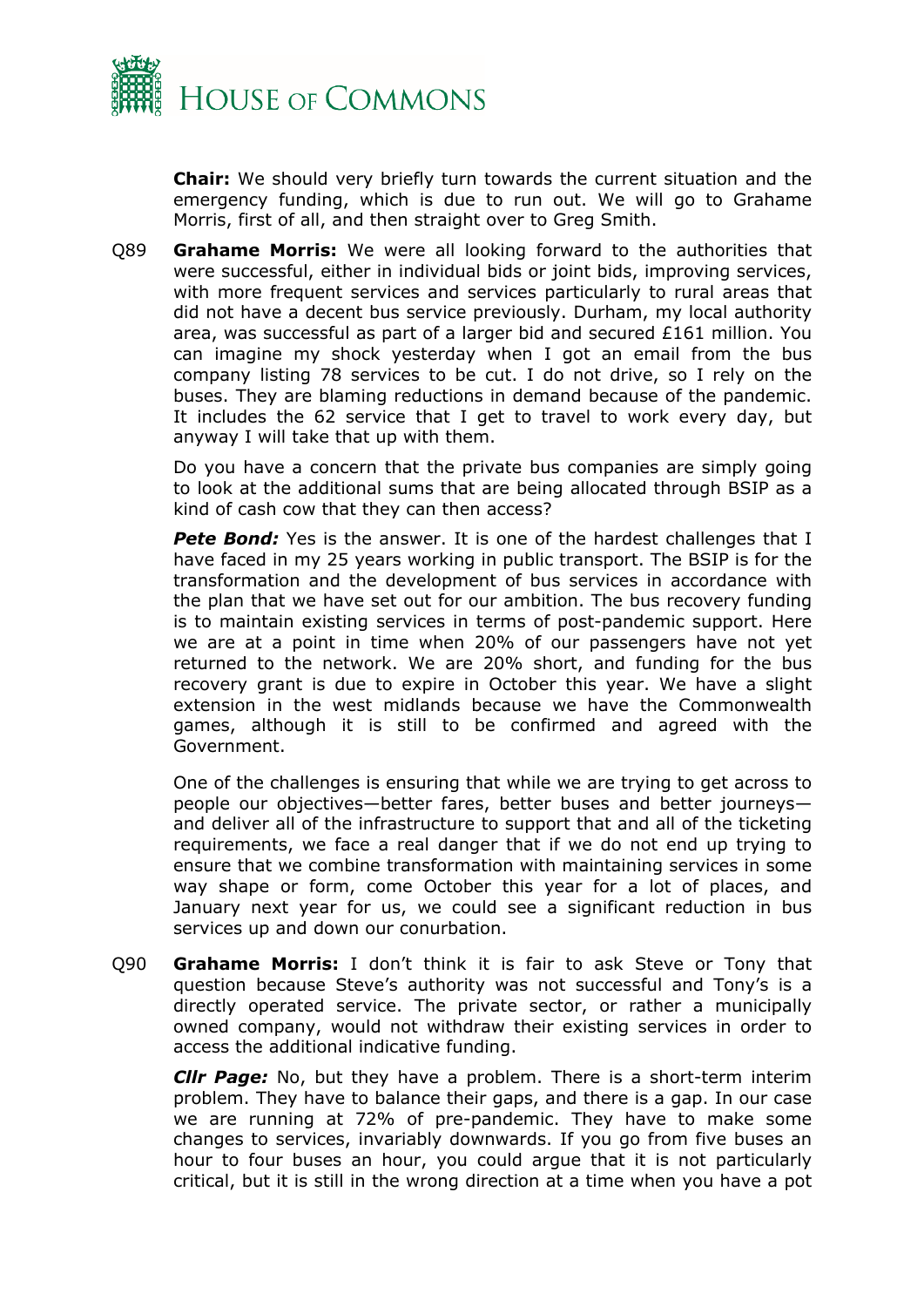

**Chair:** We should very briefly turn towards the current situation and the emergency funding, which is due to run out. We will go to Grahame Morris, first of all, and then straight over to Greg Smith.

Q89 **Grahame Morris:** We were all looking forward to the authorities that were successful, either in individual bids or joint bids, improving services, with more frequent services and services particularly to rural areas that did not have a decent bus service previously. Durham, my local authority area, was successful as part of a larger bid and secured £161 million. You can imagine my shock yesterday when I got an email from the bus company listing 78 services to be cut. I do not drive, so I rely on the buses. They are blaming reductions in demand because of the pandemic. It includes the 62 service that I get to travel to work every day, but anyway I will take that up with them.

Do you have a concern that the private bus companies are simply going to look at the additional sums that are being allocated through BSIP as a kind of cash cow that they can then access?

**Pete Bond:** Yes is the answer. It is one of the hardest challenges that I have faced in my 25 years working in public transport. The BSIP is for the transformation and the development of bus services in accordance with the plan that we have set out for our ambition. The bus recovery funding is to maintain existing services in terms of post-pandemic support. Here we are at a point in time when 20% of our passengers have not yet returned to the network. We are 20% short, and funding for the bus recovery grant is due to expire in October this year. We have a slight extension in the west midlands because we have the Commonwealth games, although it is still to be confirmed and agreed with the Government.

One of the challenges is ensuring that while we are trying to get across to people our objectives—better fares, better buses and better journeys and deliver all of the infrastructure to support that and all of the ticketing requirements, we face a real danger that if we do not end up trying to ensure that we combine transformation with maintaining services in some way shape or form, come October this year for a lot of places, and January next year for us, we could see a significant reduction in bus services up and down our conurbation.

Q90 **Grahame Morris:** I don't think it is fair to ask Steve or Tony that question because Steve's authority was not successful and Tony's is a directly operated service. The private sector, or rather a municipally owned company, would not withdraw their existing services in order to access the additional indicative funding.

*Cllr Page:* No, but they have a problem. There is a short-term interim problem. They have to balance their gaps, and there is a gap. In our case we are running at 72% of pre-pandemic. They have to make some changes to services, invariably downwards. If you go from five buses an hour to four buses an hour, you could argue that it is not particularly critical, but it is still in the wrong direction at a time when you have a pot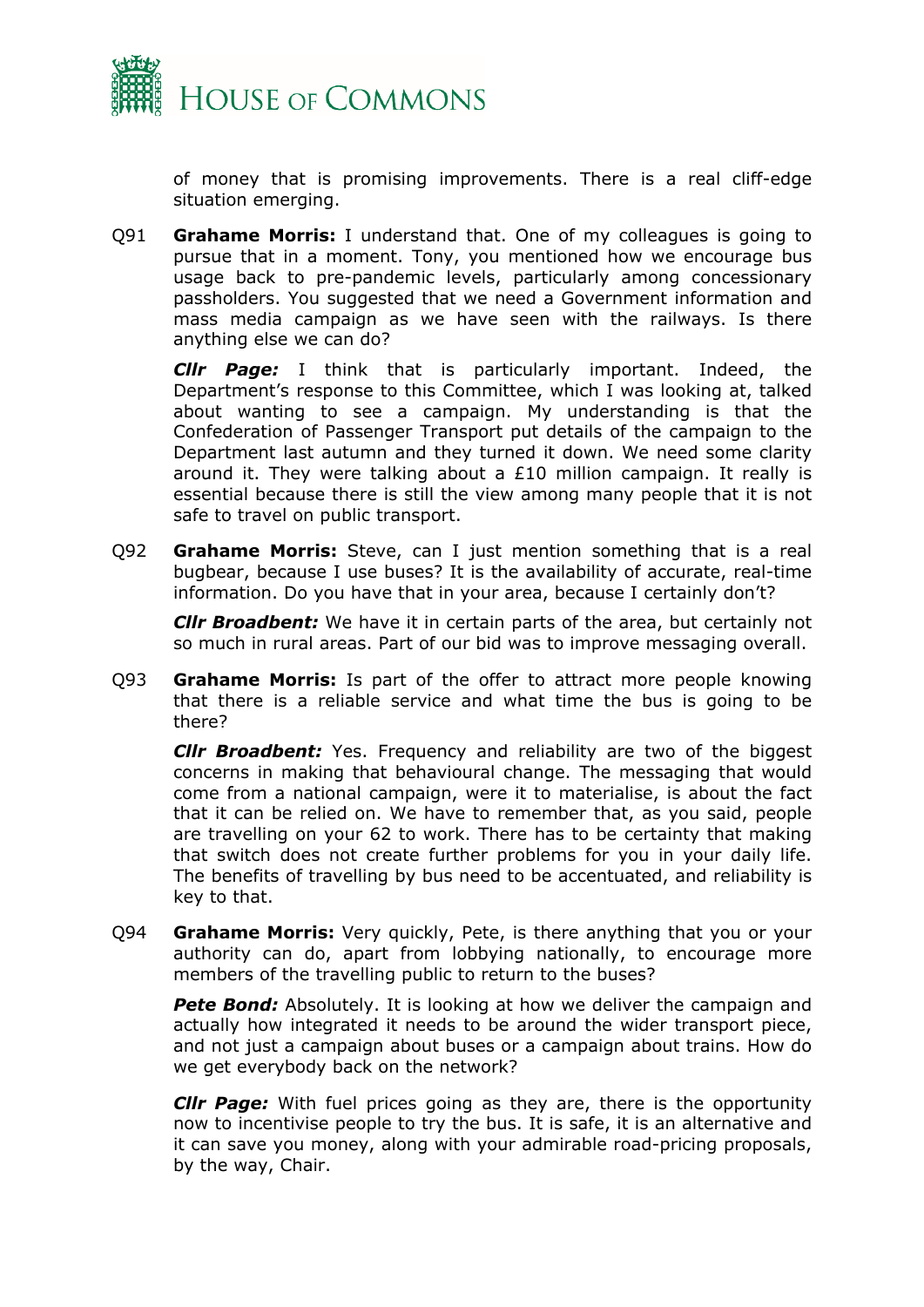

of money that is promising improvements. There is a real cliff-edge situation emerging.

Q91 **Grahame Morris:** I understand that. One of my colleagues is going to pursue that in a moment. Tony, you mentioned how we encourage bus usage back to pre-pandemic levels, particularly among concessionary passholders. You suggested that we need a Government information and mass media campaign as we have seen with the railways. Is there anything else we can do?

*Cllr Page:* I think that is particularly important. Indeed, the Department's response to this Committee, which I was looking at, talked about wanting to see a campaign. My understanding is that the Confederation of Passenger Transport put details of the campaign to the Department last autumn and they turned it down. We need some clarity around it. They were talking about a £10 million campaign. It really is essential because there is still the view among many people that it is not safe to travel on public transport.

Q92 **Grahame Morris:** Steve, can I just mention something that is a real bugbear, because I use buses? It is the availability of accurate, real-time information. Do you have that in your area, because I certainly don't?

*Cllr Broadbent:* We have it in certain parts of the area, but certainly not so much in rural areas. Part of our bid was to improve messaging overall.

Q93 **Grahame Morris:** Is part of the offer to attract more people knowing that there is a reliable service and what time the bus is going to be there?

*Cllr Broadbent:* Yes. Frequency and reliability are two of the biggest concerns in making that behavioural change. The messaging that would come from a national campaign, were it to materialise, is about the fact that it can be relied on. We have to remember that, as you said, people are travelling on your 62 to work. There has to be certainty that making that switch does not create further problems for you in your daily life. The benefits of travelling by bus need to be accentuated, and reliability is key to that.

Q94 **Grahame Morris:** Very quickly, Pete, is there anything that you or your authority can do, apart from lobbying nationally, to encourage more members of the travelling public to return to the buses?

**Pete Bond:** Absolutely. It is looking at how we deliver the campaign and actually how integrated it needs to be around the wider transport piece, and not just a campaign about buses or a campaign about trains. How do we get everybody back on the network?

*Cllr Page:* With fuel prices going as they are, there is the opportunity now to incentivise people to try the bus. It is safe, it is an alternative and it can save you money, along with your admirable road-pricing proposals, by the way, Chair.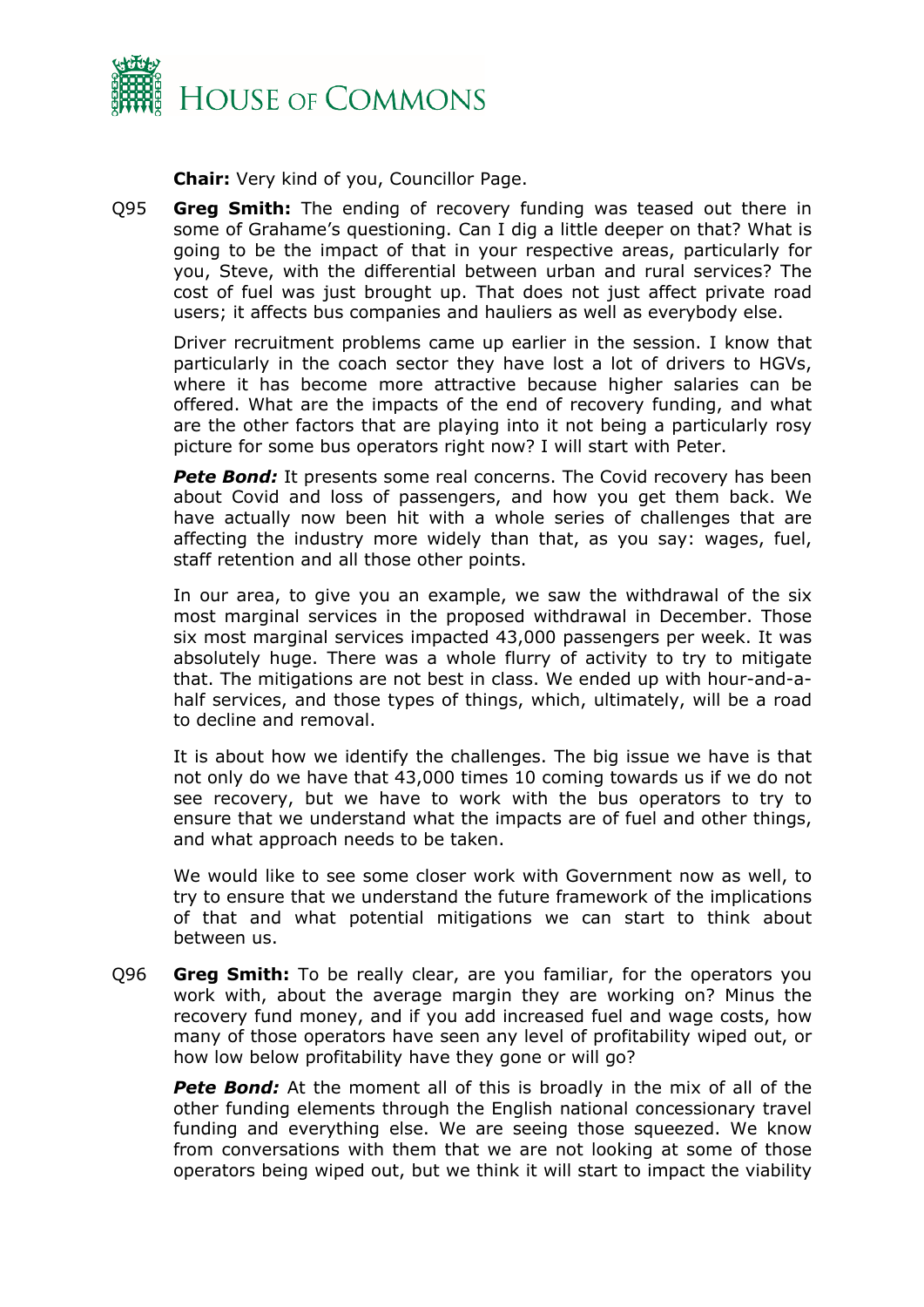

**Chair:** Very kind of you, Councillor Page.

Q95 **Greg Smith:** The ending of recovery funding was teased out there in some of Grahame's questioning. Can I dig a little deeper on that? What is going to be the impact of that in your respective areas, particularly for you, Steve, with the differential between urban and rural services? The cost of fuel was just brought up. That does not just affect private road users; it affects bus companies and hauliers as well as everybody else.

Driver recruitment problems came up earlier in the session. I know that particularly in the coach sector they have lost a lot of drivers to HGVs, where it has become more attractive because higher salaries can be offered. What are the impacts of the end of recovery funding, and what are the other factors that are playing into it not being a particularly rosy picture for some bus operators right now? I will start with Peter.

**Pete Bond:** It presents some real concerns. The Covid recovery has been about Covid and loss of passengers, and how you get them back. We have actually now been hit with a whole series of challenges that are affecting the industry more widely than that, as you say: wages, fuel, staff retention and all those other points.

In our area, to give you an example, we saw the withdrawal of the six most marginal services in the proposed withdrawal in December. Those six most marginal services impacted 43,000 passengers per week. It was absolutely huge. There was a whole flurry of activity to try to mitigate that. The mitigations are not best in class. We ended up with hour-and-ahalf services, and those types of things, which, ultimately, will be a road to decline and removal.

It is about how we identify the challenges. The big issue we have is that not only do we have that 43,000 times 10 coming towards us if we do not see recovery, but we have to work with the bus operators to try to ensure that we understand what the impacts are of fuel and other things, and what approach needs to be taken.

We would like to see some closer work with Government now as well, to try to ensure that we understand the future framework of the implications of that and what potential mitigations we can start to think about between us.

Q96 **Greg Smith:** To be really clear, are you familiar, for the operators you work with, about the average margin they are working on? Minus the recovery fund money, and if you add increased fuel and wage costs, how many of those operators have seen any level of profitability wiped out, or how low below profitability have they gone or will go?

*Pete Bond:* At the moment all of this is broadly in the mix of all of the other funding elements through the English national concessionary travel funding and everything else. We are seeing those squeezed. We know from conversations with them that we are not looking at some of those operators being wiped out, but we think it will start to impact the viability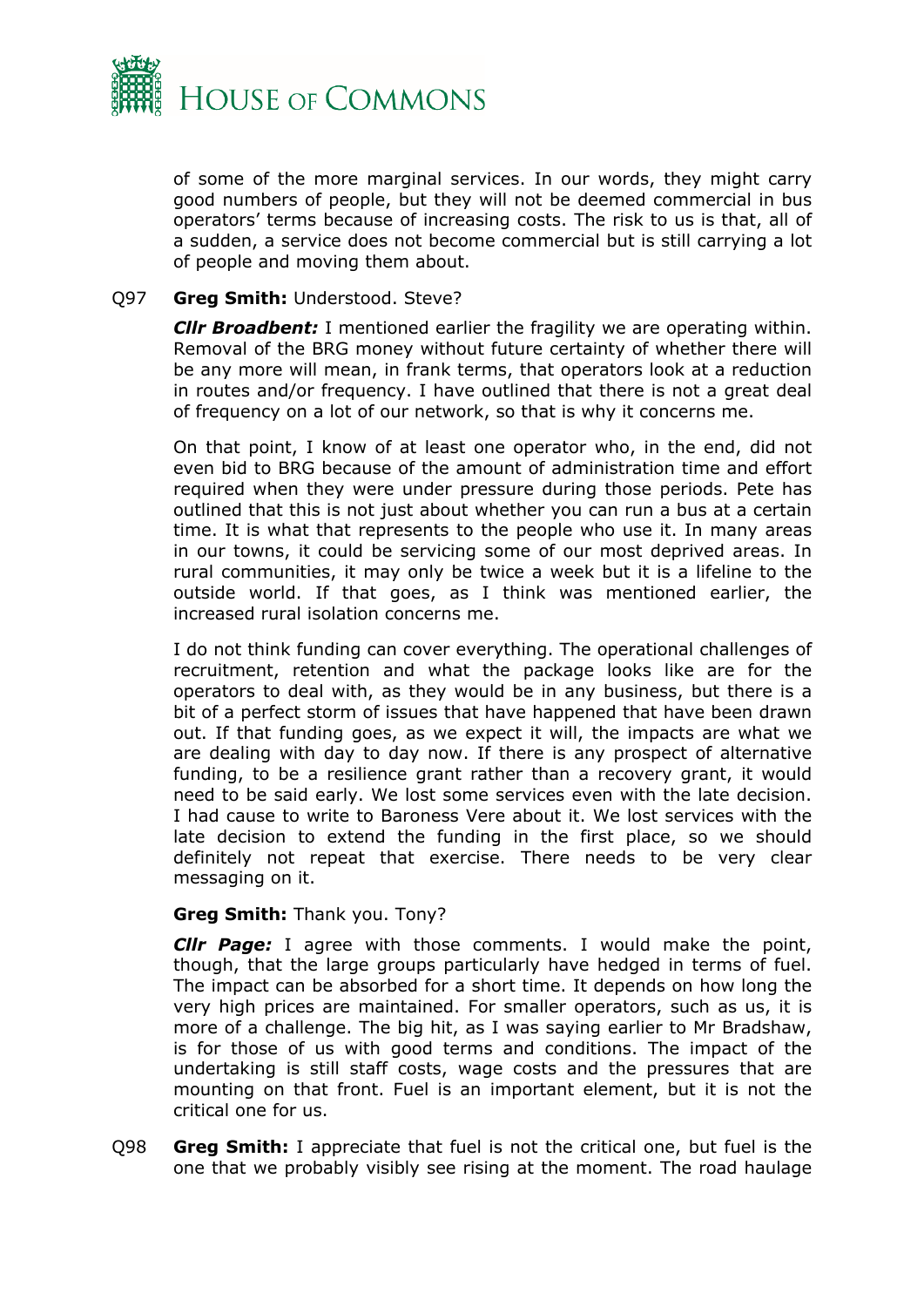

of some of the more marginal services. In our words, they might carry good numbers of people, but they will not be deemed commercial in bus operators' terms because of increasing costs. The risk to us is that, all of a sudden, a service does not become commercial but is still carrying a lot of people and moving them about.

#### Q97 **Greg Smith:** Understood. Steve?

*Cllr Broadbent:* I mentioned earlier the fragility we are operating within. Removal of the BRG money without future certainty of whether there will be any more will mean, in frank terms, that operators look at a reduction in routes and/or frequency. I have outlined that there is not a great deal of frequency on a lot of our network, so that is why it concerns me.

On that point, I know of at least one operator who, in the end, did not even bid to BRG because of the amount of administration time and effort required when they were under pressure during those periods. Pete has outlined that this is not just about whether you can run a bus at a certain time. It is what that represents to the people who use it. In many areas in our towns, it could be servicing some of our most deprived areas. In rural communities, it may only be twice a week but it is a lifeline to the outside world. If that goes, as I think was mentioned earlier, the increased rural isolation concerns me.

I do not think funding can cover everything. The operational challenges of recruitment, retention and what the package looks like are for the operators to deal with, as they would be in any business, but there is a bit of a perfect storm of issues that have happened that have been drawn out. If that funding goes, as we expect it will, the impacts are what we are dealing with day to day now. If there is any prospect of alternative funding, to be a resilience grant rather than a recovery grant, it would need to be said early. We lost some services even with the late decision. I had cause to write to Baroness Vere about it. We lost services with the late decision to extend the funding in the first place, so we should definitely not repeat that exercise. There needs to be very clear messaging on it.

#### **Greg Smith:** Thank you. Tony?

*Cllr Page:* I agree with those comments. I would make the point, though, that the large groups particularly have hedged in terms of fuel. The impact can be absorbed for a short time. It depends on how long the very high prices are maintained. For smaller operators, such as us, it is more of a challenge. The big hit, as I was saying earlier to Mr Bradshaw, is for those of us with good terms and conditions. The impact of the undertaking is still staff costs, wage costs and the pressures that are mounting on that front. Fuel is an important element, but it is not the critical one for us.

Q98 **Greg Smith:** I appreciate that fuel is not the critical one, but fuel is the one that we probably visibly see rising at the moment. The road haulage